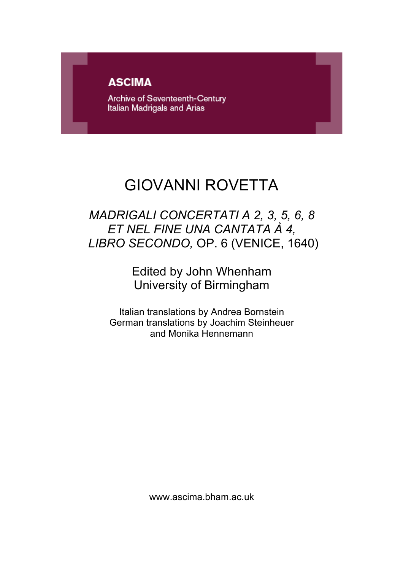# **ASCIMA**

Archive of Seventeenth-Century Italian Madrigals and Arias

# GIOVANNI ROVETTA

# *MADRIGALI CONCERTATI A 2, 3, 5, 6, 8 ET NEL FINE UNA CANTATA À 4, LIBRO SECONDO,* OP. 6 (VENICE, 1640)

# Edited by John Whenham University of Birmingham

Italian translations by Andrea Bornstein German translations by Joachim Steinheuer and Monika Hennemann

www.ascima.bham.ac.uk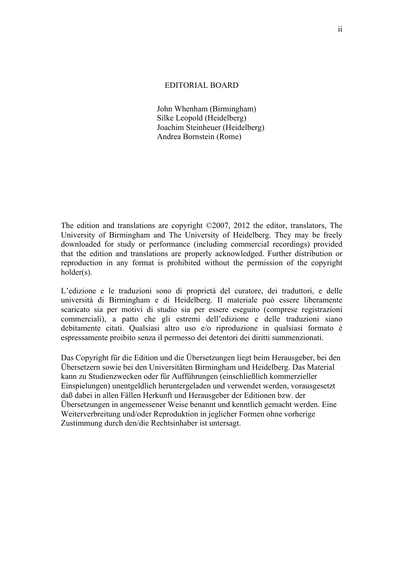# EDITORIAL BOARD

John Whenham (Birmingham) Silke Leopold (Heidelberg) Joachim Steinheuer (Heidelberg) Andrea Bornstein (Rome)

The edition and translations are copyright ©2007, 2012 the editor, translators, The University of Birmingham and The University of Heidelberg. They may be freely downloaded for study or performance (including commercial recordings) provided that the edition and translations are properly acknowledged. Further distribution or reproduction in any format is prohibited without the permission of the copyright holder(s).

L'edizione e le traduzioni sono di proprietà del curatore, dei traduttori, e delle università di Birmingham e di Heidelberg. Il materiale può essere liberamente scaricato sia per motivi di studio sia per essere eseguito (comprese registrazioni commerciali), a patto che gli estremi dell'edizione e delle traduzioni siano debitamente citati. Qualsiasi altro uso e/o riproduzione in qualsiasi formato è espressamente proibito senza il permesso dei detentori dei diritti summenzionati.

Das Copyright für die Edition und die Übersetzungen liegt beim Herausgeber, bei den Übersetzern sowie bei den Universitäten Birmingham und Heidelberg. Das Material kann zu Studienzwecken oder für Aufführungen (einschließlich kommerzieller Einspielungen) unentgeldlich heruntergeladen und verwendet werden, vorausgesetzt daß dabei in allen Fällen Herkunft und Herausgeber der Editionen bzw. der Übersetzungen in angemessener Weise benannt und kenntlich gemacht werden. Eine Weiterverbreitung und/oder Reproduktion in jeglicher Formen ohne vorherige Zustimmung durch den/die Rechtsinhaber ist untersagt.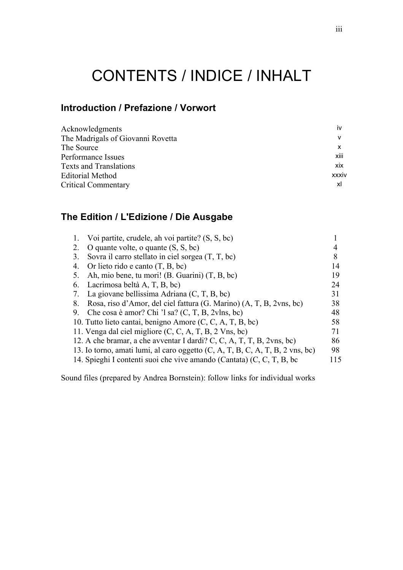# CONTENTS / INDICE / INHALT

# **Introduction / Prefazione / Vorwort**

| Acknowledgments                   | iv         |
|-----------------------------------|------------|
| The Madrigals of Giovanni Rovetta |            |
| The Source                        |            |
| Performance Issues                | xiii       |
| <b>Texts and Translations</b>     | <b>XIX</b> |
| <b>Editorial Method</b>           | xxxiv      |
| <b>Critical Commentary</b>        | xl         |
|                                   |            |

# **The Edition / L'Edizione / Die Ausgabe**

| 1. | Voi partite, crudele, ah voi partite? (S, S, bc)                              |    |
|----|-------------------------------------------------------------------------------|----|
| 2. | O quante volte, o quante $(S, S, bc)$                                         |    |
| 3. | Sovra il carro stellato in ciel sorgea $(T, T, bc)$                           |    |
| 4. | Or lieto rido e canto $(T, B, bc)$                                            | 14 |
| 5. | Ah, mio bene, tu mori! (B. Guarini) $(T, B, bc)$                              | 19 |
| 6. | Lacrimosa beltà A, T, B, bc)                                                  | 24 |
| 7. | La giovane bellissima Adriana $(C, T, B, bc)$                                 | 31 |
| 8. | Rosa, riso d'Amor, del ciel fattura (G. Marino) (A, T, B, 2vns, bc)           | 38 |
| 9. | Che cosa è amor? Chi 'l sa? $(C, T, B, 2v \text{lns}, bc)$                    | 48 |
|    | 10. Tutto lieto cantai, benigno Amore (C, C, A, T, B, bc)                     | 58 |
|    | 11. Venga dal ciel migliore $(C, C, A, T, B, 2$ Vns, bc)                      | 71 |
|    | 12. A che bramar, a che avventar I dardi? C, C, A, T, T, B, $2vns$ , bc)      | 86 |
|    | 13. Io torno, amati lumi, al caro oggetto (C, A, T, B, C, A, T, B, 2 vns, bc) | 98 |
|    | 14. Spieghi I contenti suoi che vive amando (Cantata) (C, C, T, B, bc         |    |

Sound files (prepared by Andrea Bornstein): follow links for individual works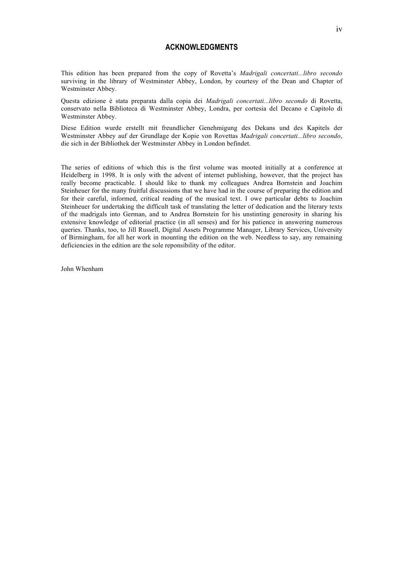# **ACKNOWLEDGMENTS**

This edition has been prepared from the copy of Rovetta's *Madrigali concertati...libro secondo* surviving in the library of Westminster Abbey, London, by courtesy of the Dean and Chapter of Westminster Abbey.

Questa edizione è stata preparata dalla copia dei *Madrigali concertati...libro secondo* di Rovetta, conservato nella Biblioteca di Westminster Abbey, Londra, per cortesia del Decano e Capitolo di Westminster Abbey.

Diese Edition wurde erstellt mit freundlicher Genehmigung des Dekans und des Kapitels der Westminster Abbey auf der Grundlage der Kopie von Rovettas *Madrigali concertati...libro secondo*, die sich in der Bibliothek der Westminster Abbey in London befindet.

The series of editions of which this is the first volume was mooted initially at a conference at Heidelberg in 1998. It is only with the advent of internet publishing, however, that the project has really become practicable. I should like to thank my colleagues Andrea Bornstein and Joachim Steinheuer for the many fruitful discussions that we have had in the course of preparing the edition and for their careful, informed, critical reading of the musical text. I owe particular debts to Joachim Steinheuer for undertaking the difficult task of translating the letter of dedication and the literary texts of the madrigals into German, and to Andrea Bornstein for his unstinting generosity in sharing his extensive knowledge of editorial practice (in all senses) and for his patience in answering numerous queries. Thanks, too, to Jill Russell, Digital Assets Programme Manager, Library Services, University of Birmingham, for all her work in mounting the edition on the web. Needless to say, any remaining deficiencies in the edition are the sole reponsibility of the editor.

John Whenham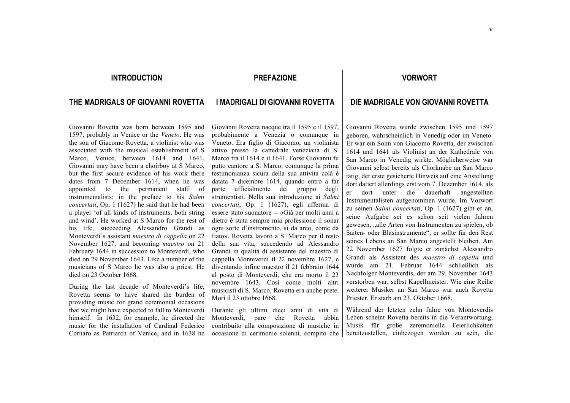# **INTRODUCTION**

# **THE MADRIGALS OF GIOVANNI ROVETTA**

Giovanni Rovetta was born between 1595 and 1597, probably in Venice or the *Veneto*. He was the son of Giacomo Rovetta, a violinist who was associated with the musical establishment of S Marco, Venice, between 1614 and 1641. Giovanni may have been a choirboy at S Marco, but the first secure evidence of his work there dates from 7 December 1614, when he was appointed to the permanent staff of instrumentalists; in the preface to his *Salmi concertati*, Op. 1 (1627) he said that he had been a player 'of all kinds of instruments, both string and wind'. He worked at S Marco for the rest of his life, succeeding Alessandro Grandi as Monteverdi's assistant *maestro di cappella* on 22 November 1627, and becoming *maestro* on 21 February 1644 in succession to Monteverdi, who died on 29 November 1643. Like a number of the musicians of S Marco he was also a priest. He died on 23 October 1668.

During the last decade of Monteverdi's life, Rovetta seems to have shared the burden of providing music for grand ceremonial occasions that we might have expected to fall to Monteverdi himself. In 1632, for example, he directed the music for the installation of Cardinal Federico Cornaro as Patriarch of Venice, and in 1638 he

# **PREFAZIONE**

# **I MADRIGALI DI GIOVANNI ROVETTA**

Giovanni Rovetta nacque tra il 1595 e il 1597, probabimente a Venezia o comunque in Veneto. Era figlio di Giacomo, un violinista attivo presso la cattedrale veneziana di S. Marco tra il 1614 e il 1641. Forse Giovanni fu putto cantore a S. Marco; comunque la prima testimonianza sicura della sua attività colà è datata 7 dicembre 1614, quando entrò a far parte ufficialmente del gruppo degli strumentisti. Nella sua introduzione ai *Salmi concertati*, Op. 1 (1627), egli afferma di essere stato suonatore -- «Già per molti anni a dietro è stata sempre mia professione il sonar ogni sorte d'instromento, si da arco, come da fiato». Rovetta lavorò a S. Marco per il resto della sua vita, succedendo ad Alessandro Grandi in qualità di assistente del maestro di cappella Monteverdi il 22 novembre 1627, e diventando infine maestro il 21 febbraio 1644 al posto di Monteverdi, che era morto il 23 novembre 1643. Così come molti altri musicisti di S. Marco, Rovetta era anche prete. Morì il 23 ottobre 1668.

Durante gli ultimi dieci anni di vita di Monteverdi, pare che Rovetta abbia contribuito alla composizione di musiche in occasione di cerimonie solenni, compito che

# **VORWORT**

# **DIE MADRIGALE VON GIOVANNI ROVETTA**

Giovanni Rovetta wurde zwischen 1595 und 1597 geboren, wahrscheinlich in Venedig oder im Veneto. Er war ein Sohn von Giacomo Rovetta, der zwischen 1614 und 1641 als Violinist an der Kathedrale von San Marco in Venedig wirkte. Möglicherweise war Giovanni selbst bereits als Chorknabe an San Marco tätig, der erste gesicherte Hinweis auf eine Anstellung dort datiert allerdings erst vom 7. Dezember 1614, als er dort unter die dauerhaft angestellten Instrumentalisten aufgenommen wurde. Im Vorwort zu seinen *Salmi concertati*, Op. 1 (1627) gibt er an, seine Aufgabe sei es schon seit vielen Jahren gewesen, "alle Arten von Instrumenten zu spielen, ob Saiten- oder Blasinstrumente"; er sollte für den Rest seines Lebens an San Marco angestellt bleiben. Am 22 November 1627 folgte er zunächst Alessandro Grandi als Assistent des *maestro di capella* und wurde am 21. Februar 1644 schließlich als Nachfolger Monteverdis, der am 29. November 1643 verstorben war, selbst Kapellmeister. Wie eine Reihe weiterer Musiker an San Marco war auch Rovetta Priester. Er starb am 23. Oktober 1668.

Während der letzten zehn Jahre von Monteverdis Leben scheint Rovetta bereits in die Verantwortung, Musik für große zeremonielle Feierlichkeiten bereitzustellen, einbezogen worden zu sein, die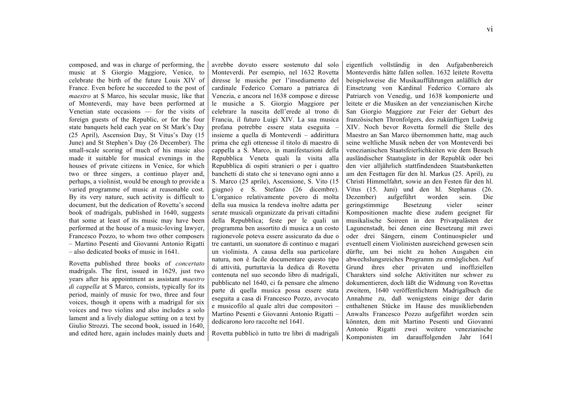composed, and was in charge of performing, the music at S Giorgio Maggiore, Venice, to celebrate the birth of the future Louis XIV of France. Even before he succeeded to the post of *maestro* at S Marco, his secular music, like that of Monteverdi, may have been performed at Venetian state occasions — for the visits of foreign guests of the Republic, or for the four state banquets held each year on St Mark's Day (25 April), Ascension Day, St Vitus's Day (15 June) and St Stephen's Day (26 December). The small-scale scoring of much of his music also made it suitable for musical evenings in the houses of private citizens in Venice, for which two or three singers, a continuo player and, perhaps, a violinist, would be enough to provide a varied programme of music at reasonable cost. By its very nature, such activity is difficult to document, but the dedication of Rovetta's second book of madrigals, published in 1640, suggests that some at least of its music may have been performed at the house of a music-loving lawyer, Francesco Pozzo, to whom two other composers – Martino Pesenti and Giovanni Antonio Rigatti – also dedicated books of music in 1641.

Rovetta published three books of *concertato* madrigals. The first, issued in 1629, just two years after his appointment as assistant *maestro di cappella* at S Marco, consists, typically for its period, mainly of music for two, three and four voices, though it opens with a madrigal for six voices and two violins and also includes a solo lament and a lively dialogue setting on a text by Giulio Strozzi. The second book, issued in 1640, and edited here, again includes mainly duets and avrebbe dovuto essere sostenuto dal solo Monteverdi. Per esempio, nel 1632 Rovetta diresse le musiche per l'insediamento del cardinale Federico Cornaro a patriarca di Venezia, e ancora nel 1638 compose e diresse le musiche a S. Giorgio Maggiore per celebrare la nascita dell'erede al trono di Francia, il futuro Luigi XIV. La sua musica profana potrebbe essere stata eseguita – insieme a quella di Monteverdi – addirittura prima che egli ottenesse il titolo di maestro di cappella a S. Marco, in manifestazioni della Repubblica Veneta quali la visita alla Repubblica di ospiti stranieri o per i quattro banchetti di stato che si tenevano ogni anno a S. Marco (25 aprile), Ascensione, S. Vito (15 giugno) e S. Stefano (26 dicembre). L'organico relativamente povero di molta della sua musica la rendeva inoltre adatta per serate musicali organizzate da privati cittadini della Repubblica; feste per le quali un programma ben assortito di musica a un costo ragionevole poteva essere assicurato da due o tre cantanti, un suonatore di continuo e magari un violinista. A causa della sua particolare natura, non è facile documentare questo tipo di attività, purtuttavia la dedica di Rovetta contenuta nel suo secondo libro di madrigali, pubblicato nel 1640, ci fa pensare che almeno parte di quella musica possa essere stata eseguita a casa di Francesco Pozzo, avvocato e musicofilo al quale altri due compositori – Martino Pesenti e Giovanni Antonio Rigatti – dedicarono loro raccolte nel 1641.

Rovetta pubblicò in tutto tre libri di madrigali

eigentlich vollständig in den Aufgabenbereich Monteverdis hätte fallen sollen. 1632 leitete Rovetta beispielsweise die Musikaufführungen anläßlich der Einsetzung von Kardinal Federico Cornaro als Patriarch von Venedig, und 1638 komponierte und leitete er die Musiken an der venezianischen Kirche San Giorgio Maggiore zur Feier der Geburt des französischen Thronfolgers, des zukünftigen Ludwig XIV. Noch bevor Rovetta formell die Stelle des Maestro an San Marco übernommen hatte, mag auch seine weltliche Musik neben der von Monteverdi bei venezianischen Staatsfeierlichkeiten wie dem Besuch ausländischer Staatsgäste in der Republik oder bei den vier alljährlich stattfindendeen Staatsbanketten am den Festtagen für den hl. Markus (25. April), zu Christi Himmelfahrt, sowie an den Festen für den hl. Vitus (15. Juni) und den hl. Stephanus (26. Dezember) aufgeführt worden sein. Die geringstimmige Besetzung vieler seiner Kompositionen machte diese zudem geeignet für musikalische Soireen in den Privatpalästen der Lagunenstadt, bei denen eine Besetzung mit zwei oder drei Sängern, einem Continuospieler und eventuell einem Violinisten ausreichend gewesen sein dürfte, um bei nicht zu hohen Ausgaben ein abwechslungsreiches Programm zu ermöglichen. Auf Grund ihres eher privaten und inoffiziellen Charakters sind solche Aktivitäten nur schwer zu dokumentieren, doch läßt die Widmung von Rovettas zweitem, 1640 veröffentlichtem Madrigalbuch die Annahme zu, daß wenigstens einige der darin enthaltenen Stücke im Hause des musikliebenden Anwalts Francesco Pozzo aufgeführt worden sein könnten, dem mit Martino Pesenti und Giovanni Antonio Rigatti zwei weitere venezianische Komponisten im darauffolgenden Jahr 1641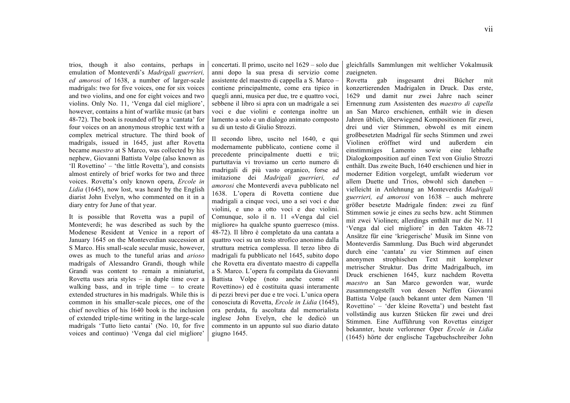trios, though it also contains, perhaps in emulation of Monteverdi's *Madrigali guerrieri, ed amorosi* of 1638, a number of larger-scale madrigals: two for five voices, one for six voices and two violins, and one for eight voices and two violins. Only No. 11, 'Venga dal ciel migliore', however, contains a hint of warlike music (at bars 48-72). The book is rounded off by a 'cantata' for four voices on an anonymous strophic text with a complex metrical structure. The third book of madrigals, issued in 1645, just after Rovetta became *maestro* at S Marco, was collected by his nephew, Giovanni Battista Volpe (also known as 'Il Rovettino' – 'the little Rovetta'), and consists almost entirely of brief works for two and three voices. Rovetta's only known opera, *Ercole in Lidia* (1645), now lost, was heard by the English diarist John Evelyn, who commented on it in a diary entry for June of that year.

It is possible that Rovetta was a pupil of Monteverdi; he was described as such by the Modenese Resident at Venice in a report of January 1645 on the Monteverdian succession at S Marco. His small-scale secular music, however, owes as much to the tuneful arias and *arioso* madrigals of Alessandro Grandi, though while Grandi was content to remain a miniaturist, Rovetta uses aria styles – in duple time over a walking bass, and in triple time – to create extended structures in his madrigals. While this is common in his smaller-scale pieces, one of the chief novelties of his 1640 book is the inclusion of extended triple-time writing in the large-scale madrigals 'Tutto lieto cantai' (No. 10, for five voices and continuo) 'Venga dal ciel migliore'

concertati. Il primo, uscito nel 1629 – solo due anni dopo la sua presa di servizio come assistente del maestro di cappella a S. Marco – contiene principalmente, come era tipico in quegli anni, musica per due, tre e quattro voci, sebbene il libro si apra con un madrigale a sei voci e due violini e contenga inoltre un lamento a solo e un dialogo animato composto su di un testo di Giulio Strozzi.

Il secondo libro, uscito nel 1640, e qui modernamente pubblicato, contiene come il precedente principalmente duetti e trii; purtuttavia vi troviamo un certo numero di madrigali di più vasto organico, forse ad imitazione dei *Madrigali guerrieri, ed amorosi* che Monteverdi aveva pubblicato nel 1638. L'opera di Rovetta contiene due madrigali a cinque voci, uno a sei voci e due violini, e uno a otto voci e due violini. Comunque, solo il n. 11 «Venga dal ciel migliore» ha qualche spunto guerresco (miss. 48-72). Il libro è completato da una cantata a quattro voci su un testo strofico anonimo dalla struttura metrica complessa. Il terzo libro di madrigali fu pubblicato nel 1645, subito dopo che Rovetta era diventato maestro di cappella a S. Marco. L'opera fu compilata da Giovanni Battista Volpe (noto anche come «Il Rovettino») ed è costituita quasi interamente di pezzi brevi per due e tre voci. L'unica opera conosciuta di Rovetta, *Ercole in Lidia* (1645), ora perduta, fu ascoltata dal memorialista inglese John Evelyn, che le dedicò un commento in un appunto sul suo diario datato giugno 1645.

gleichfalls Sammlungen mit weltlicher Vokalmusik zueigneten.

Rovetta gab insgesamt drei Bücher mit konzertierenden Madrigalen in Druck. Das erste, 1629 und damit nur zwei Jahre nach seiner Ernennung zum Assistenten des *maestro di capella* an San Marco erschienen, enthält wie in diesen Jahren üblich, überwiegend Kompositionen für zwei, drei und vier Stimmen, obwohl es mit einem großbesetzten Madrigal für sechs Stimmen und zwei Violinen eröffnet wird und außerdem ein einstimmiges Lamento sowie eine lebhafte Dialogkomposition auf einen Text von Giulio Strozzi enthält. Das zweite Buch, 1640 erschienen und hier in moderner Edition vorgelegt, umfaßt wiederum vor allem Duette und Trios, obwohl sich daneben – vielleicht in Anlehnung an Monteverdis *Madrigali guerrieri, ed amorosi* von 1638 – auch mehrere größer besetzte Madrigale finden: zwei zu fünf Stimmen sowie je eines zu sechs bzw. acht Stimmen mit zwei Violinen; allerdings enthält nur die Nr. 11 'Venga dal ciel migliore' in den Takten 48-72 Ansätze für eine 'kriegerische' Musik im Sinne von Monteverdis Sammlung. Das Buch wird abgerundet durch eine 'cantata' zu vier Stimmen auf einen anonymen strophischen Text mit komplexer metrischer Struktur. Das dritte Madrigalbuch, im Druck erschienen 1645, kurz nachdem Rovetta *maestro* an San Marco geworden war, wurde zusammengestellt von dessen Neffen Giovanni Battista Volpe (auch bekannt unter dem Namen 'Il Rovettino' – 'der kleine Rovetta') und besteht fast vollständig aus kurzen Stücken für zwei und drei Stimmen. Eine Aufführung von Rovettas einziger bekannter, heute verlorener Oper *Ercole in Lidia* (1645) hörte der englische Tagebuchschreiber John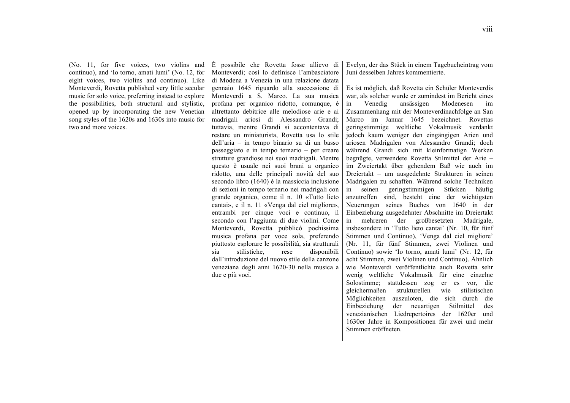(No. 11, for five voices, two violins and continuo), and 'Io torno, amati lumi' (No. 12, for eight voices, two violins and continuo). Like Monteverdi, Rovetta published very little secular music for solo voice, preferring instead to explore the possibilities, both structural and stylistic, opened up by incorporating the new Venetian song styles of the 1620s and 1630s into music for two and more voices.

È possibile che Rovetta fosse allievo di Monteverdi; così lo definisce l'ambasciatore di Modena a Venezia in una relazione datata gennaio 1645 riguardo alla successione di Monteverdi a S. Marco. La sua musica profana per organico ridotto, comunque, è altrettanto debitrice alle melodiose arie e ai madrigali ariosi di Alessandro Grandi; tuttavia, mentre Grandi si accontentava di restare un miniaturista, Rovetta usa lo stile dell'aria – in tempo binario su di un basso passeggiato e in tempo ternario – per creare strutture grandiose nei suoi madrigali. Mentre questo è usuale nei suoi brani a organico ridotto, una delle principali novità del suo secondo libro (1640) è la massiccia inclusione di sezioni in tempo ternario nei madrigali con grande organico, come il n. 10 «Tutto lieto cantai», e il n. 11 «Venga dal ciel migliore», entrambi per cinque voci e continuo, il secondo con l'aggiunta di due violini. Come Monteverdi, Rovetta pubblicò pochissima musica profana per voce sola, preferendo piuttosto esplorare le possibilità, sia strutturali sia stilistiche, rese disponibili dall'introduzione del nuovo stile della canzone veneziana degli anni 1620-30 nella musica a due e più voci.

Evelyn, der das Stück in einem Tagebucheintrag vom Juni desselben Jahres kommentierte.

Es ist möglich, daß Rovetta ein Schüler Monteverdis war, als solcher wurde er zumindest im Bericht eines in Venedig ansässigen Modenesen im Zusammenhang mit der Monteverdinachfolge an San Marco im Januar 1645 bezeichnet. Rovettas geringstimmige weltliche Vokalmusik verdankt jedoch kaum weniger den eingängigen Arien und ariosen Madrigalen von Alessandro Grandi; doch während Grandi sich mit kleinformatign Werken begnügte, verwendete Rovetta Stilmittel der Arie – im Zweiertakt über gehendem Baß wie auch im Dreiertakt – um ausgedehnte Strukturen in seinen Madrigalen zu schaffen. Während solche Techniken in seinen geringstimmigen Stücken häufig anzutreffen sind, besteht eine der wichtigsten Neuerungen seines Buches von 1640 in der Einbeziehung ausgedehnter Abschnitte im Dreiertakt in mehreren der großbesetzten Madrigale, insbesondere in 'Tutto lieto cantai' (Nr. 10, für fünf Stimmen und Continuo), 'Venga dal ciel migliore' (Nr. 11, für fünf Stimmen, zwei Violinen und Continuo) sowie 'Io torno, amati lumi' (Nr. 12, für acht Stimmen, zwei Violinen und Continuo). Ähnlich wie Monteverdi veröffentlichte auch Rovetta sehr wenig weltliche Vokalmusik für eine einzelne Solostimme; stattdessen zog er es vor, die gleichermaßen strukturellen wie stilistischen Möglichkeiten auszuloten, die sich durch die Einbeziehung der neuartigen Stilmittel des venezianischen Liedrepertoires der 1620er und 1630er Jahre in Kompositionen für zwei und mehr Stimmen eröffneten.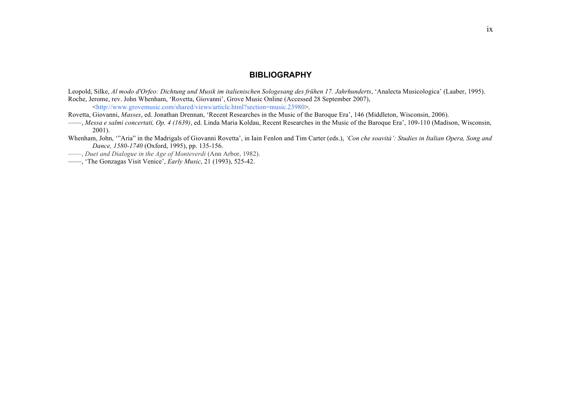# **BIBLIOGRAPHY**

Leopold, Silke, *Al modo d'Orfeo: Dichtung und Musik im italienischen Sologesang des frühen 17. Jahrhunderts*, 'Analecta Musicologica' (Laaber, 1995). Roche, Jerome, rev. John Whenham, 'Rovetta, Giovanni', Grove Music Online (Accessed 28 September 2007),

<http://www.grovemusic.com/shared/views/article.html?section=music.23980>.

Rovetta, Giovanni, *Masses*, ed. Jonathan Drennan, 'Recent Researches in the Music of the Baroque Era', 146 (Middleton, Wisconsin, 2006).

- ——, *Messa e salmi concertati, Op. 4 (1639)*, ed. Linda Maria Koldau, Recent Researches in the Music of the Baroque Era', 109-110 (Madison, Wisconsin, 2001).
- Whenham, John, '"Aria" in the Madrigals of Giovanni Rovetta', in Iain Fenlon and Tim Carter (eds.), *'Con che soavità': Studies in Italian Opera, Song and Dance, 1580-1740* (Oxford, 1995), pp. 135-156.
- ——, *Duet and Dialogue in the Age of Monteverdi* (Ann Arbor, 1982).
- ——, 'The Gonzagas Visit Venice', *Early Music*, 21 (1993), 525-42.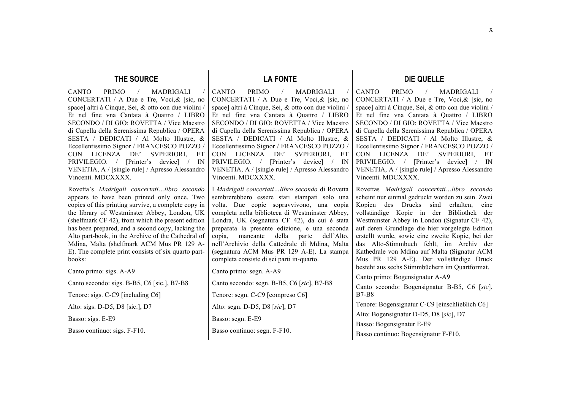# **THE SOURCE**

CANTO PRIMO / MADRIGALI CONCERTATI / A Due e Tre, Voci,& [sic, no space] altri à Cinque, Sei, & otto con due violini / Et nel fine vna Cantata à Quattro / LIBRO SECONDO / DI GIO: ROVETTA / Vice Maestro di Capella della Serenissima Republica / OPERA SESTA / DEDICATI / Al Molto Illustre, & Eccellentissimo Signor / FRANCESCO POZZO / CON LICENZA DE' SVPERIORI, ET PRIVILEGIO. / [Printer's device] / IN VENETIA, A / [single rule] / Apresso Alessandro Vincenti. MDCXXXX.

Rovetta's *Madrigali concertati…libro secondo* appears to have been printed only once. Two copies of this printing survive, a complete copy in the library of Westminster Abbey, London, UK (shelfmark CF 42), from which the present edition has been prepared, and a second copy, lacking the Alto part-book, in the Archive of the Cathedral of Mdina, Malta (shelfmark ACM Mus PR 129 A-E). The complete print consists of six quarto partbooks:

Canto primo: sigs. A-A9 Canto secondo: sigs. B-B5, C6 [sic.], B7-B8 Tenore: sigs. C-C9 [including C6] Alto: sigs. D-D5, D8 [sic.], D7 Basso: sigs. E-E9

Basso continuo: sigs. F-F10.

# **LA FONTE**

CANTO PRIMO / MADRIGALI CONCERTATI / A Due e Tre, Voci,& [sic, no space] altri à Cinque, Sei, & otto con due violini / Et nel fine vna Cantata à Quattro / LIBRO SECONDO / DI GIO: ROVETTA / Vice Maestro di Capella della Serenissima Republica / OPERA SESTA / DEDICATI / Al Molto Illustre, & Eccellentissimo Signor / FRANCESCO POZZO / CON LICENZA DE' SVPERIORI, ET PRIVILEGIO. / [Printer's device] / IN VENETIA, A / [single rule] / Apresso Alessandro Vincenti. MDCXXXX.

I *Madrigali concertati…libro secondo* di Rovetta sembrerebbero essere stati stampati solo una volta. Due copie sopravvivono, una copia completa nella biblioteca di Westminster Abbey, Londra, UK (segnatura CF 42), da cui è stata preparata la presente edizione, e una seconda copia, mancante della parte dell'Alto, nell'Archivio della Cattedrale di Mdina, Malta (segnatura ACM Mus PR 129 A-E). La stampa completa consiste di sei parti in-quarto.

Canto primo: segn. A-A9

Canto secondo: segn. B-B5, C6 [*sic*], B7-B8 Tenore: segn. C-C9 [compreso C6]

Alto: segn. D-D5, D8 [*sic*], D7

Basso: segn. E-E9

Basso continuo: segn. F-F10.

# **DIE QUELLE**

CANTO PRIMO / MADRIGALI CONCERTATI / A Due e Tre, Voci,& [sic, no space] altri à Cinque, Sei, & otto con due violini / Et nel fine vna Cantata à Quattro / LIBRO SECONDO / DI GIO: ROVETTA / Vice Maestro di Capella della Serenissima Republica / OPERA SESTA / DEDICATI / Al Molto Illustre, & Eccellentissimo Signor / FRANCESCO POZZO / CON LICENZA DE' SVPERIORI, ET PRIVILEGIO. / [Printer's device] / IN VENETIA, A / [single rule] / Apresso Alessandro Vincenti. MDCXXXX.

Rovettas *Madrigali concertati…libro secondo* scheint nur einmal gedruckt worden zu sein. Zwei Kopien des Drucks sind erhalten, eine vollständige Kopie in der Bibliothek der Westminster Abbey in London (Signatur CF 42), auf deren Grundlage die hier vorgelegte Edition erstellt wurde, sowie eine zweite Kopie, bei der das Alto-Stimmbuch fehlt, im Archiv der Kathedrale von Mdina auf Malta (Signatur ACM Mus PR 129 A-E). Der vollständige Druck besteht aus sechs Stimmbüchern im Quartformat.

Canto primo: Bogensignatur A-A9

Canto secondo: Bogensignatur B-B5, C6 [*sic*], B7-B8

Tenore: Bogensignatur C-C9 [einschließlich C6]

Alto: Bogensignatur D-D5, D8 [*sic*], D7

Basso: Bogensignatur E-E9

Basso continuo: Bogensignatur F-F10.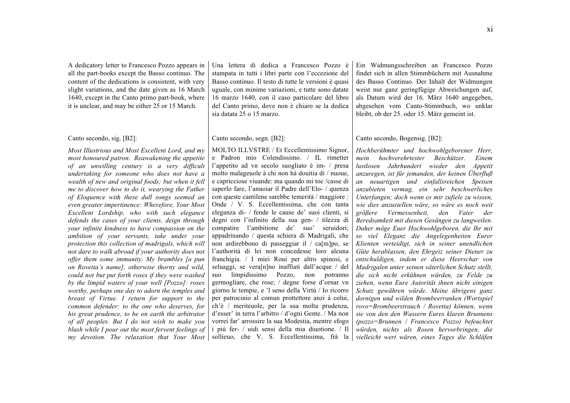A dedicatory letter to Francesco Pozzo appears in all the part-books except the Basso continuo. The content of the dedications is consistent, with very slight variations, and the date given as 16 March 1640, except in the Canto primo part-book, where it is unclear, and may be either 25 or 15 March.

#### Canto secondo, sig. [B2]:

*Most Illustrious and Most Excellent Lord, and my most honoured patron. Reawakening the appetite of an unwilling century is a very difficult undertaking for someone who does not have a wealth of new and original foods; but when it fell me to discover how to do it, wearying the Father of Eloquence with these dull songs seemed an even greater impertinence: Wherefore, Your Most Excellent Lordship, who with such elegance defends the cases of your clients, deign through your infinite kindness to have compassion on the ambition of your servants, take under your protection this collection of madrigals, which will not dare to walk abroad if your authority does not offer them some immunity. My brambles [a pun on Rovetta's name], otherwise thorny and wild, could not but put forth roses if they were washed by the limpid waters of your well [Pozzo]: roses worthy, perhaps one day to adorn the temples and breast of Virtue. I return for support to the common defender: to the one who deserves, for his great prudence, to be on earth the arbitrator of all peoples. But I do not wish to make you blush while I pour out the most fervent feelings of my devotion. The relaxation that Your Most*  Una lettera di dedica a Francesco Pozzo è stampata in tutti i libri parte con l'eccezione del Basso continuo. Il testo di tutte le versioni è quasi uguale, con minime variazioni, e tutte sono datate 16 marzo 1640, con il caso particolare del libro del Canto primo, dove non è chiaro se la dedica sia datata 25 o 15 marzo.

#### Canto secondo, segn. [B2]:

MOLTO ILLVSTRE / Et Eccellentissimo Signor, e Padron mio Colendissimo. / IL rimetter l'appetito ad vn secolo suogliato è im- / presa molto malageuole à chi non hà douitia di / nuoue, e capricciose viuande: ma quando mi toc /casse di saperlo fare, l'annoiar il Padre dell'Elo- / quenza con queste cantilene sarebbe temerità / maggiore : Onde / V. S. Eccellentissima, che con tanta eleganza di- / fende le cause de' suoi clienti, si degni con l'infinito della sua gen- / tilezza di compatire l'ambitione de' suo' seruidori; appadrinando / questa schiera di Madrigali, che non ardirebbono di passeggiar il / ca[m]po, se l'authorità di lei non concedesse loro alcuna franchigia. / I miei Roui per altro spinosi, e seluaggi, se vera[n]no inaffiati dall'acque / del suo limpidissimo Pozzo, non potranno germogliare, che rose; / degne forse d'ornar vn giorno le tempie, e 'l seno della Virtù / Io ricorro per patrocinio al comun prottettore anzi à colui, ch'è / meriteuole, per la sua molta prudenza, d'esser' in terra l'arbitro / d'ogni Gente. / Ma non vorrei far' arrossire la sua Modestia, mentre sfogo i più fer- / uidi sensi della mia diuotione. / Il sollieuo, che V. S. Eccellentissima, frà la Ein Widmungsschreiben an Francesco Pozzo findet sich in allen Stimmbüchern mit Ausnahme des Basso Continuo. Der Inhalt der Widmungen weist nur ganz geringfügige Abweichungen auf, als Datum wird der 16. März 1640 angegeben, abgesehen vom Canto-Stimmbuch, wo unklar bleibt, ob der 25. oder 15. März gemeint ist.

#### Canto secondo, Bogensig. [B2]:

*Hochberühmter und hochwohlgeborener Herr, mein hochverehrtester Beschützer. Einem lustlosen Jahrhundert wieder den Appetit anzuregen, ist für jemanden, der keinen Überfluß an neuartigen und einfallsreichen Speisen anzubieten vermag, ein sehr beschwerliches Unterfangen; doch wenn es mir zufiele zu wissen, wie dies anzustellen wäre, so wäre es noch weit größere Vermessenheit, den Vater der Beredsamkeit mit diesen Gesängen zu langweilen. Daher möge Euer Hochwohlgeboren, die Ihr mit so viel Eleganz die Angelegenheiten Eurer Klienten verteidigt, sich in seiner unendlichen Güte herablassen, den Ehrgeiz seiner Diener zu entschuldigen, indem er diese Heerschar von Madrigalen unter seinen väterlichen Schutz stellt, die sich nicht erkühnen würden, zu Felde zu ziehen, wenn Eure Autorität ihnen nicht einigen Schutz gewähren würde. Meine übrigens ganz dornigen und wilden Brombeerranken (Wortspiel rovo=Brombeerstrauch / Rovetta) können, wenn sie von den den Wassern Eures klaren Brunnens (pozzo=Brunnen / Francesco Pozzo) befeuchtet würden, nichts als Rosen hervorbringen, die vielleicht wert wären, eines Tages die Schläfen*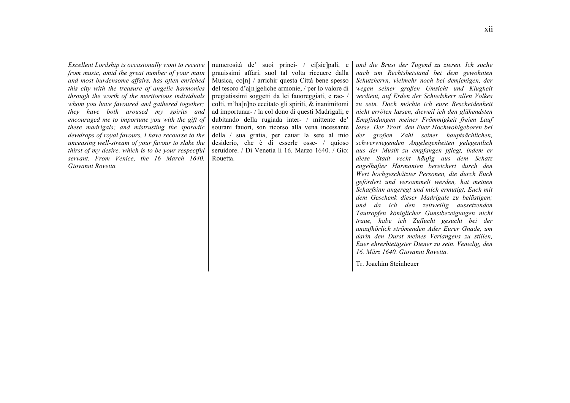*Excellent Lordship is occasionally wont to receive from music, amid the great number of your main and most burdensome affairs, has often enriched this city with the treasure of angelic harmonies through the worth of the meritorious individuals whom you have favoured and gathered together; they have both aroused my spirits and encouraged me to importune you with the gift of these madrigals; and mistrusting the sporadic dewdrops of royal favours, I have recourse to the unceasing well-stream of your favour to slake the thirst of my desire, which is to be your respectful servant. From Venice, the 16 March 1640. Giovanni Rovetta*

numerosità de' suoi princi- / ci[sic]pali, e grauissimi affari, suol tal volta riceuere dalla Musica, co[n] / arrichir questa Città bene spesso del tesoro d'a[n]geliche armonie, / per lo valore di pregiatissimi soggetti da lei fauoreggiati, e rac- / colti, m'ha[n]no eccitato gli spiriti, & inanimitomi ad importunar- / la col dono di questi Madrigali; e dubitando della rugiada inter- / mittente de' sourani fauori, son ricorso alla vena incessante della / sua gratia, per cauar la sete al mio desiderio, che è di esserle osse- / quioso seruidore. / Di Venetia li 16. Marzo 1640. / Gio: Rouetta.

*und die Brust der Tugend zu zieren. Ich suche nach um Rechtsbeistand bei dem gewohnten Schutzherrn, vielmehr noch bei demjenigen, der wegen seiner großen Umsicht und Klugheit verdient, auf Erden der Schiedsherr allen Volkes zu sein. Doch möchte ich eure Bescheidenheit nicht erröten lassen, dieweil ich den glühendsten Empfindungen meiner Frömmigkeit freien Lauf lasse. Der Trost, den Euer Hochwohlgeboren bei der großen Zahl seiner hauptsächlichen, schwerwiegenden Angelegenheiten gelegentlich aus der Musik zu empfangen pflegt, indem er diese Stadt recht häufig aus dem Schatz engelhafter Harmonien bereichert durch den Wert hochgeschätzter Personen, die durch Euch gefördert und versammelt werden, hat meinen Scharfsinn angeregt und mich ermutigt, Euch mit dem Geschenk dieser Madrigale zu belästigen; und da ich den zeitweilig aussetzenden Tautropfen königlicher Gunstbezeigungen nicht traue, habe ich Zuflucht gesucht bei der unaufhörlich strömenden Ader Eurer Gnade, um darin den Durst meines Verlangens zu stillen, Euer ehrerbietigster Diener zu sein. Venedig, den 16. März 1640. Giovanni Rovetta.*

Tr. Joachim Steinheuer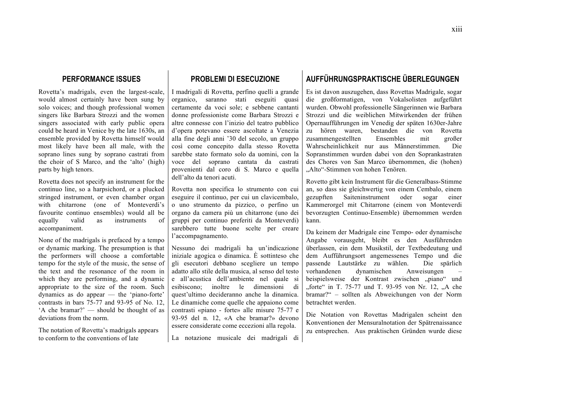# **PERFORMANCE ISSUES**

Rovetta's madrigals, even the largest-scale, would almost certainly have been sung by solo voices; and though professional women singers like Barbara Strozzi and the women singers associated with early public opera could be heard in Venice by the late 1630s, an ensemble provided by Rovetta himself would most likely have been all male, with the soprano lines sung by soprano castrati from the choir of S Marco, and the 'alto' (high) parts by high tenors.

Rovetta does not specify an instrument for the continuo line, so a harpsichord, or a plucked stringed instrument, or even chamber organ with chitarrone (one of Monteverdi's favourite continuo ensembles) would all be equally valid as instruments of accompaniment.

None of the madrigals is prefaced by a tempo or dynamic marking. The presumption is that the performers will choose a comfortable tempo for the style of the music, the sense of the text and the resonance of the room in which they are performing, and a dynamic appropriate to the size of the room. Such dynamics as do appear — the 'piano-forte' contrasts in bars 75-77 and 93-95 of No. 12, 'A che bramar?' — should be thought of as deviations from the norm.

The notation of Rovetta's madrigals appears to conform to the conventions of late

# **PROBLEMI DI ESECUZIONE**

I madrigali di Rovetta, perfino quelli a grande organico, saranno stati eseguiti quasi certamente da voci sole; e sebbene cantanti donne professioniste come Barbara Strozzi e altre connesse con l'inizio del teatro pubblico d'opera potevano essere ascoltate a Venezia alla fine degli anni '30 del secolo, un gruppo così come concepito dalla stesso Rovetta sarebbe stato formato solo da uomini, con la voce del soprano cantata da castrati provenienti dal coro di S. Marco e quella dell'alto da tenori acuti.

Rovetta non specifica lo strumento con cui eseguire il continuo, per cui un clavicembalo, o uno strumento da pizzico, o perfino un organo da camera più un chitarrone (uno dei gruppi per continuo preferiti da Monteverdi) sarebbero tutte buone scelte per creare l'accompagnamento.

Nessuno dei madrigali ha un'indicazione iniziale agogica o dinamica. È sottinteso che gli esecutori debbano scegliere un tempo adatto allo stile della musica, al senso del testo e all'acustica dell'ambiente nel quale si esibiscono; inoltre le dimensioni di quest'ultimo decideranno anche la dinamica. Le dinamiche come quelle che appaiono come contrasti «piano - forte» alle misure 75-77 e 93-95 del n. 12, «A che bramar?» devono essere considerate come eccezioni alla regola.

La notazione musicale dei madrigali di

# **AUFFÜHRUNGSPRAKTISCHE ÜBERLEGUNGEN**

Es ist davon auszugehen, dass Rovettas Madrigale, sogar die großformatigen, von Vokalsolisten aufgeführt wurden. Obwohl professionelle Sängerinnen wie Barbara Strozzi und die weiblichen Mitwirkenden der frühen Opernaufführungen im Venedig der späten 1630er-Jahre zu hören waren, bestanden die von Rovetta zusammengestellten Ensembles mit großer Wahrscheinlichkeit nur aus Männerstimmen. Die Sopranstimmen wurden dabei von den Soprankastraten des Chores von San Marco übernommen, die (hohen) "Alto"-Stimmen von hohen Tenören.

Rovetto gibt kein Instrument für die Generalbass-Stimme an, so dass sie gleichwertig von einem Cembalo, einem gezupften Saiteninstrument oder sogar einer Kammerorgel mit Chitarrone (einem von Monteverdi bevorzugten Continuo-Ensemble) übernommen werden kann.

Da keinem der Madrigale eine Tempo- oder dynamische Angabe vorausgeht, bleibt es den Ausführenden überlassen, ein dem Musikstil, der Textbedeutung und dem Aufführungsort angemessenes Tempo und die passende Lautstärke zu wählen. Die spärlich vorhandenen dynamischen Anweisungen – beispielsweise der Kontrast zwischen "piano" und "forte" in T. 75-77 und T. 93-95 von Nr. 12, "A che bramar?" – sollten als Abweichungen von der Norm betrachtet werden.

Die Notation von Rovettas Madrigalen scheint den Konventionen der Mensuralnotation der Spätrenaissance zu entsprechen. Aus praktischen Gründen wurde diese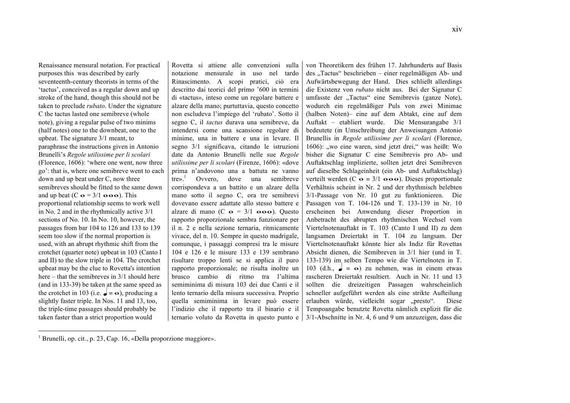Renaissance mensural notation. For practical purposes this was described by early seventeenth-century theorists in terms of the 'tactus', conceived as a regular down and up stroke of the hand, though this should not be taken to preclude *rubato*. Under the signature C the tactus lasted one semibreve (whole note), giving a regular pulse of two minims (half notes) one to the downbeat, one to the upbeat. The signature 3/1 meant, to paraphrase the instructions given in Antonio Brunelli's *Regole utilissime per li scolari* (Florence, 1606): 'where one went, now three go': that is, where one semibreve went to each down and up beat under C, now three semibreves should be fitted to the same down and up beat  $(C \bullet = 3/1 \bullet \bullet \bullet)$ . This proportional relationship seems to work well in No. 2 and in the rhythmically active 3/1 sections of No. 10. In No. 10, however, the passages from bar 104 to 126 and 133 to 139 seem too slow if the normal proportion is used, with an abrupt rhythmic shift from the crotchet (quarter note) upbeat in 103 (Canto I and II) to the slow triple in 104. The crotchet upbeat may be the clue to Rovetta's intention here – that the semibreves in 3/1 should here (and in 133-39) be taken at the same speed as the crotchet in 103 (i.e.  $\bullet = \bullet$ ), producing a slightly faster triple. In Nos. 11 and 13, too, the triple-time passages should probably be taken faster than a strict proportion would

 $\overline{a}$ 

Rovetta si attiene alle convenzioni sulla notazione mensurale in uso nel tardo Rinascimento. A scopi pratici, ciò era descritto dai teorici del primo '600 in termini di «tactus», inteso come un regolare battere e alzare della mano; purtuttavia, questo concetto non escludeva l'impiego del 'rubato'. Sotto il segno C, il *tactus* durava una semibreve, da intendersi come una scansione regolare di minime, una in battere e una in levare. Il segno 3/1 significava, citando le istruzioni date da Antonio Brunelli nelle sue *Regole utilissime per li scolari* (Firenze, 1606): «dove prima n'andovono una a battuta ne vanno tre».<sup>1</sup> Ovvero, dove una semibreve corrispondeva a un battito e un alzare della mano sotto il segno C, ora tre semibrevi dovevano essere adattate allo stesso battere e alzare di mano (C  $\sigma = 3/1$   $\sigma \sigma \sigma$ ). Questo rapporto proporzionale sembra funzionare per il n. 2 e nella sezione ternaria, ritmicamente vivace, del n. 10. Sempre in questo madrigale, comunque, i passaggi compresi tra le misure 104 e 126 e le misure 133 e 139 sembrano risultare troppo lenti se si applica il puro rapporto proporzionale; ne risulta inoltre un brusco cambio di ritmo tra l'ultima semiminima di misura 103 dei due Canti e il lento ternario della misura successiva. Proprio quella semiminima in levare può essere l'indizio che il rapporto tra il binario e il

ternario voluto da Rovetta in questo punto e 3/1-Abschnitte in Nr. 4, 6 und 9 um anzuzeigen, dass die von Theoretikern des frühen 17. Jahrhunderts auf Basis des "Tactus" beschrieben – einer regelmäßigen Ab- und Aufwärtsbewegung der Hand. Dies schließt allerdings die Existenz von *rubato* nicht aus. Bei der Signatur C umfasste der "Tactus" eine Semibrevis (ganze Note), wodurch ein regelmäßiger Puls von zwei Minimae (halben Noten)– eine auf dem Abtakt, eine auf dem Auftakt – etabliert wurde. Die Mensurangabe 3/1 bedeutete (in Umschreibung der Anweisungen Antonio Brunellis in *Regole utilissime per li scolari* (Florence, 1606): "wo eine waren, sind jetzt drei," was heißt: Wo bisher die Signatur C eine Semibrevis pro Ab- und Auftaktschlag implizierte, sollten jetzt drei Semibreven auf dieselbe Schlageinheit (ein Ab- und Auftaktschlag) verteilt werden (C  $\mathbf{o} = 3/1 \ \mathbf{o} \cdot \mathbf{o} \cdot \mathbf{o}$ ). Dieses proportionale Verhältnis scheint in Nr. 2 und der rhythmisch belebten 3/1-Passage von Nr. 10 gut zu funktionieren. Die Passagen von T. 104-126 und T. 133-139 in Nr. 10 erscheinen bei Anwendung dieser Proportion in Anbetracht des abrupten rhythmischen Wechsel vom Viertelnotenauftakt in T. 103 (Canto I und II) zu dem langsamen Dreiertakt in T. 104 zu langsam. Der Viertelnotenauftakt könnte hier als Indiz für Rovettas Absicht dienen, die Semibreven in 3/1 hier (und in T. 133-139) im selben Tempo wie die Viertelnoten in T. 103 (d.h.,  $\boldsymbol{z} = \boldsymbol{\infty}$ ) zu nehmen, was in einem etwas rascheren Dreiertakt resultiert. Auch in Nr. 11 und 13 sollten die dreizeitigen Passagen wahrscheinlich schneller aufgeführt werden als eine strikte Aufteilung erlauben würde, vielleicht sogar "presto". Diese Tempoangabe benutzte Rovetta nämlich explizit für die

<sup>1</sup> Brunelli, op. cit., p. 23, Cap. 16, «Della proporzione maggiore».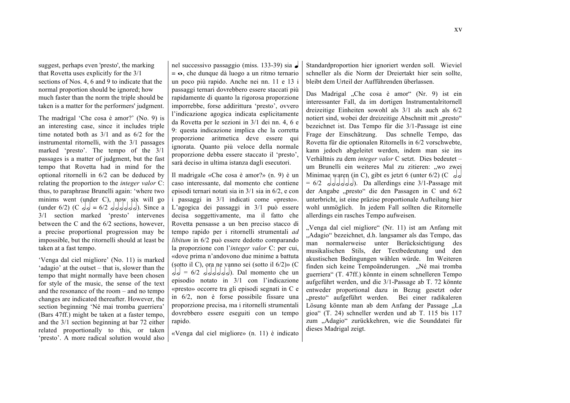suggest, perhaps even 'presto', the marking that Rovetta uses explicitly for the 3/1 sections of Nos. 4, 6 and 9 to indicate that the normal proportion should be ignored; how much faster than the norm the triple should be taken is a matter for the performers' judgment.

The madrigal 'Che cosa è amor?' (No. 9) is an interesting case, since it includes triple time notated both as 3/1 and as 6/2 for the instrumental ritornelli, with the 3/1 passages marked 'presto'. The tempo of the 3/1 passages is a matter of judgment, but the fast tempo that Rovetta had in mind for the optional ritornelli in 6/2 can be deduced by relating the proportion to the *integer valor* C: thus, to paraphrase Brunelli again: 'where two minims went (under C), now six will go (under 6/2) (C  $dd = 6/2$  dodded). Since a 3/1 section marked 'presto' intervenes between the C and the 6/2 sections, however, a precise proportional progression may be impossible, but the ritornelli should at least be taken at a fast tempo.

'Venga dal ciel migliore' (No. 11) is marked 'adagio' at the outset – that is, slower than the tempo that might normally have been chosen for style of the music, the sense of the text and the resonance of the room – and no tempo changes are indicated thereafter. However, the section beginning 'Né mai tromba guerriera' (Bars 47ff.) might be taken at a faster tempo, and the 3/1 section beginning at bar 72 either related proportionally to this, or taken 'presto'. A more radical solution would also

nel successivo passaggio (miss. 133-39) sia q  $= \infty$ , che dunque dà luogo a un ritmo ternario un poco più rapido. Anche nei nn. 11 e 13 i passaggi ternari dovrebbero essere staccati più rapidamente di quanto la rigorosa proporzione imporrebbe, forse addirittura 'presto', ovvero l'indicazione agogica indicata esplicitamente da Rovetta per le sezioni in 3/1 dei nn. 4, 6 e 9: questa indicazione implica che la corretta proporzione aritmetica deve essere qui ignorata. Quanto più veloce della normale proporzione debba essere staccato il 'presto', sarà deciso in ultima istanza dagli esecutori.

Il madrigale «Che cosa è amor?» (n. 9) è un caso interessante, dal momento che contiene episodi ternari notati sia in 3/1 sia in 6/2, e con i passaggi in 3/1 indicati come «presto». L'agogica dei passaggi in 3/1 può essere decisa soggettivamente, ma il fatto che Rovetta pensasse a un ben preciso stacco di tempo rapido per i ritornelli strumentali *ad libitum* in 6/2 può essere dedotto comparando la proporzione con l'*integer valor* C: per cui, «dove prima n'andovono due minime a battuta (sotto il C), ora ne vanno sei (sotto il 6/2)» (C  $h_{\alpha} = 6/2$  dddddd). Dal momento che un episodio notato in 3/1 con l'indicazione «presto» occorre tra gli episodi segnati in C e in 6/2, non è forse possibile fissare una proporzione precisa, ma i ritornelli strumentali dovrebbero essere eseguiti con un tempo rapido.

«Venga dal ciel migliore» (n. 11) è indicato

Standardproportion hier ignoriert werden soll. Wieviel schneller als die Norm der Dreiertakt hier sein sollte, bleibt dem Urteil der Aufführenden überlassen.

Das Madrigal "Che cosa è amor" (Nr. 9) ist ein interessanter Fall, da im dortigen Instrumentalritornell dreizeitige Einheiten sowohl als 3/1 als auch als 6/2 notiert sind, wobei der dreizeitige Abschnitt mit "presto" bezeichnet ist. Das Tempo für die 3/1-Passage ist eine Frage der Einschätzung. Das schnelle Tempo, das Rovetta für die optionalen Ritornells in 6/2 vorschwebte, kann jedoch abgeleitet werden, indem man sie ins Verhältnis zu dem *integer valor* C setzt. Dies bedeutet – um Brunelli ein weiteres Mal zu zitieren: "wo zwei Minimae waren (in C), gibt es jetzt 6 (unter 6/2) (C  $\sigma$  $= 6/2$  ddddd. Da allerdings eine 3/1-Passage mit der Angabe "presto" die den Passagen in C und 6/2 unterbricht, ist eine präzise proportionale Aufteilung hier wohl unmöglich. In jedem Fall sollten die Ritornelle allerdings ein rasches Tempo aufweisen.

"Venga dal ciel migliore" (Nr. 11) ist am Anfang mit "Adagio" bezeichnet, d.h. langsamer als das Tempo, das man normalerweise unter Berücksichtigung des musikalischen Stils, der Textbedeutung und den akustischen Bedingungen wählen würde. Im Weiteren finden sich keine Tempoänderungen. "Né mai tromba guerriera" (T. 47ff.) könnte in einem schnelleren Tempo aufgeführt werden, und die 3/1-Passage ab T. 72 könnte entweder proportional dazu in Bezug gesetzt oder "presto" aufgeführt werden. Bei einer radikaleren Lösung könnte man ab dem Anfang der Passage "La gioa" (T. 24) schneller werden und ab T. 115 bis 117 zum "Adagio" zurückkehren, wie die Sounddatei für dieses Madrigal zeigt.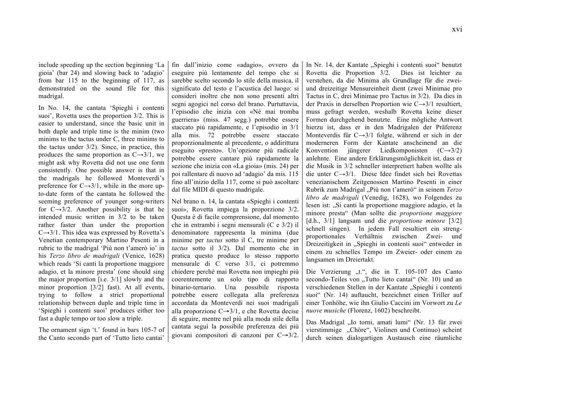include speeding up the section beginning 'La gioia' (bar 24) and slowing back to 'adagio' from bar 115 to the beginning of 117, as demonstrated on the sound file for this madrigal.

In No. 14, the cantata 'Spieghi i contenti suoi', Rovetta uses the proportion 3/2. This is easier to understand, since the basic unit in both duple and triple time is the minim (two minims to the tactus under C, three minims to the tactus under 3/2). Since, in practice, this produces the same proportion as  $C\rightarrow 3/1$ , we might ask why Rovetta did not use one form consistently. One possible answer is that in the madrigals he followed Monteverdi's preference for  $C\rightarrow 3/1$ , while in the more upto-date form of the cantata he followed the seeming preference of younger song-writers for  $C \rightarrow 3/2$ . Another possibility is that he intended music written in 3/2 to be taken rather faster than under the proportion  $C\rightarrow 3/1$ . This idea was expressed by Rovetta's Venetian contemporary Martino Pesenti in a rubric to the madrigal 'Più non t'amerò io' in his *Terzo libro de madrigali* (Venice, 1628) which reads 'Si canti la proportione maggiore adagio, et la minore presta' (one should sing the major proportion [i.e. 3/1] slowly and the minor proportion [3/2] fast). At all events, trying to follow a strict proportional relationship between duple and triple time in 'Spieghi i contenti suoi' produces either too fast a duple tempo or too slow a triple.

The ornament sign 't.' found in bars 105-7 of the Canto secondo part of 'Tutto lieto cantai'

fin dall'inizio come «adagio», ovvero da eseguire più lentamente del tempo che si sarebbe scelto secondo lo stile della musica, il significato del testo e l'acustica del luogo: si consideri inoltre che non sono presenti altri segni agogici nel corso del brano. Purtuttavia, l'episodio che inizia con «Né mai tromba guerriera» (miss. 47 segg.) potrebbe essere staccato più rapidamente, e l'episodio in 3/1 alla mis. 72 potrebbe essere staccato proporzionalmente al precedente, o addirittura eseguito «presto». Un'opzione più radicale potrebbe essere cantare più rapidamente la sezione che inizia con «La gioia» (mis. 24) per poi rallentare di nuovo ad 'adagio' da mis. 115 fino all'inizio della 117, come si può ascoltare dal file MIDI di questo madrigale.

Nel brano n. 14, la cantata «Spieghi i contenti suoi», Rovetta impiega la proporzione 3/2. Questa è di facile comprensione, dal momento che in entrambi i segni mensurali (C e 3/2) il denominatore rappresenta la minima (due minime per *tactus* sotto il C, tre minime per *tactus* sotto il 3/2). Dal momento che in pratica questo produce lo stesso rapporto mensurale di C verso 3/1, ci potremmo chiedere perché mai Rovetta non impieghi più coerentemente un solo tipo di rapporto binario-ternario. Una possibile risposta potrebbe essere collegata alla preferenza accordata da Monteverdi nei suoi madrigali alla proporzione C→3/1, e che Rovetta decise di seguire, mentre nel più alla moda stile della cantata seguì la possibile preferenza dei più giovani compositori di canzoni per C→3/2.

In Nr. 14, der Kantate "Spieghi i contenti suoi" benutzt Rovetta die Proportion 3/2. Dies ist leichter zu verstehen, da die Minima als Grundlage für die zweiund dreizeitige Mensureinheit dient (zwei Minimae pro Tactus in C, drei Minimae pro Tactus in 3/2). Da dies in der Praxis in derselben Proportion wie C→3/1 resultiert, muss gefragt werden, weshalb Rovetta keine dieser Formen durchgehend benutzte. Eine mögliche Antwort hierzu ist, dass er in den Madrigalen der Präferenz Monteverdis für C→3/1 folgte, während er sich in der moderneren Form der Kantate anscheinend an die Konvention jüngerer Liedkomponisten  $(C\rightarrow 3/2)$ anlehnte. Eine andere Erklärungsmöglichkeit ist, dass er die Musik in 3/2 schneller interpretiert haben wollte als die unter C→3/1. Diese Idee findet sich bei Rovettas venezianischem Zeitgenossen Martino Pesenti in einer Rubrik zum Madrigal "Più non t'amerò" in seinem *Terzo libro de madrigali* (Venedig, 1628), wo Folgendes zu lesen ist: "Si canti la proportione maggiore adagio, et la minore presta" (Man sollte die *proportione maggiore* [d.h., 3/1] langsam und die *proportione minore* [3/2] schnell singen). In jedem Fall resultiert ein strengproportionales Verhältnis zwischen Zwei- und Dreizeitigkeit in "Spieghi in contenti suoi" entweder in einem zu schnelles Tempo im Zweier- oder einem zu langsamen im Dreiertakt.

Die Verzierung "t.", die in T. 105-107 des Canto secondo-Teiles von "Tutto lieto cantai" (Nr. 10) und an verschiedenen Stellen in der Kantate "Spieghi i contenti suoi" (Nr. 14) auftaucht, bezeichnet einen Triller auf einer Tonhöhe, wie ihn Giulio Caccini im Vorwort zu *Le nuove musiche* (Florenz, 1602) beschreibt.

Das Madrigal "Io torni, amati lumi" (Nr. 13 für zwei vierstimmige "Chöre", Violinen und Continuo) scheint durch seinen dialogartigen Austausch eine räumliche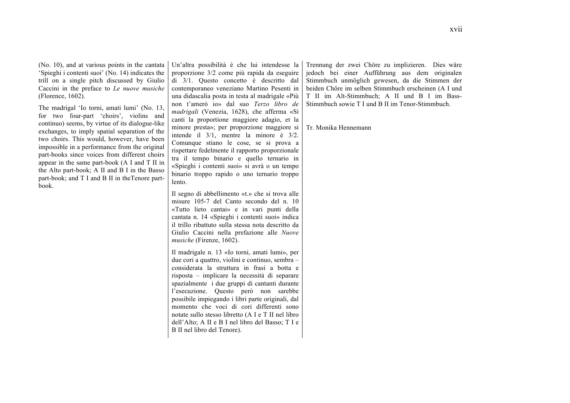(No. 10), and at various points in the cantata 'Spieghi i contenti suoi' (No. 14) indicates the trill on a single pitch discussed by Giulio Caccini in the preface to *Le nuove musiche* (Florence, 1602).

The madrigal 'Io torni, amati lumi' (No. 13, for two four-part 'choirs', violins and continuo) seems, by virtue of its dialogue-like exchanges, to imply spatial separation of the two choirs. This would, however, have been impossible in a performance from the original part-books since voices from different choirs appear in the same part-book (A I and T II in the Alto part-book; A II and B I in the Basso part-book; and T I and B II in theTenore partbook.

Un'altra possibilità è che lui intendesse la proporzione 3/2 come più rapida da eseguire di 3/1. Questo concetto è descritto dal contemporaneo veneziano Martino Pesenti in una didascalia posta in testa al madrigale «Più non t'amerò io» dal suo *Terzo libro de madrigali* (Venezia, 1628), che afferma «Si canti la proportione maggiore adagio, et la minore presta»; per proporzione maggiore si intende il 3/1, mentre la minore è 3/2. Comunque stiano le cose, se si prova a rispettare fedelmente il rapporto proporzionale tra il tempo binario e quello ternario in «Spieghi i contenti suoi» si avrà o un tempo binario troppo rapido o uno ternario troppo lento.

Il segno di abbellimento «t.» che si trova alle misure 105-7 del Canto secondo del n. 10 «Tutto lieto cantai» e in vari punti della cantata n. 14 «Spieghi i contenti suoi» indica il trillo ribattuto sulla stessa nota descritto da Giulio Caccini nella prefazione alle *Nuove musiche* (Firenze, 1602).

Il madrigale n. 13 «Io torni, amati lumi», per due cori a quattro, violini e continuo, sembra – considerata la struttura in frasi a botta e risposta – implicare la necessità di separare spazialmente i due gruppi di cantanti durante l'esecuzione. Questo però non sarebbe possibile impiegando i libri parte originali, dal momento che voci di cori differenti sono notate sullo stesso libretto (A I e T II nel libro dell'Alto; A II e B I nel libro del Basso; T I e B II nel libro del Tenore).

Trennung der zwei Chöre zu implizieren. Dies wäre jedoch bei einer Aufführung aus dem originalen Stimmbuch unmöglich gewesen, da die Stimmen der beiden Chöre im selben Stimmbuch erscheinen (A I und T II im Alt-Stimmbuch; A II und B I im Bass-Stimmbuch sowie T I und B II im Tenor-Stimmbuch.

Tr. Monika Hennemann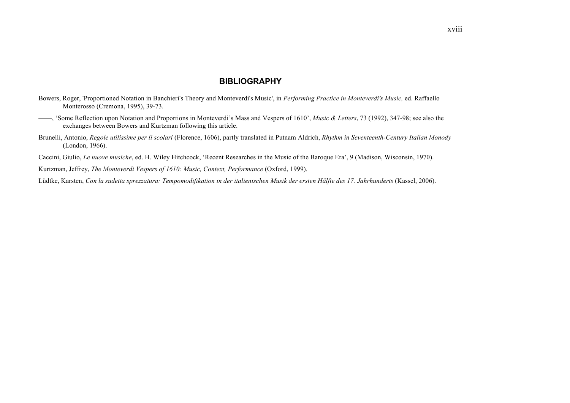# **BIBLIOGRAPHY**

- Bowers, Roger, 'Proportioned Notation in Banchieri's Theory and Monteverdi's Music', in *Performing Practice in Monteverdi's Music,* ed. Raffaello Monterosso (Cremona, 1995), 39-73.
- ——, 'Some Reflection upon Notation and Proportions in Monteverdi's Mass and Vespers of 1610', *Music & Letters*, 73 (1992), 347-98; see also the exchanges between Bowers and Kurtzman following this article.
- Brunelli, Antonio, *Regole utilissime per li scolari* (Florence, 1606), partly translated in Putnam Aldrich, *Rhythm in Seventeenth-Century Italian Monody* (London, 1966).

Caccini, Giulio, *Le nuove musiche*, ed. H. Wiley Hitchcock, 'Recent Researches in the Music of the Baroque Era', 9 (Madison, Wisconsin, 1970).

Kurtzman, Jeffrey, *The Monteverdi Vespers of 1610: Music, Context, Performance* (Oxford, 1999).

Lüdtke, Karsten, *Con la sudetta sprezzatura: Tempomodifikation in der italienischen Musik der ersten Hälfte des 17. Jahrhunderts* (Kassel, 2006).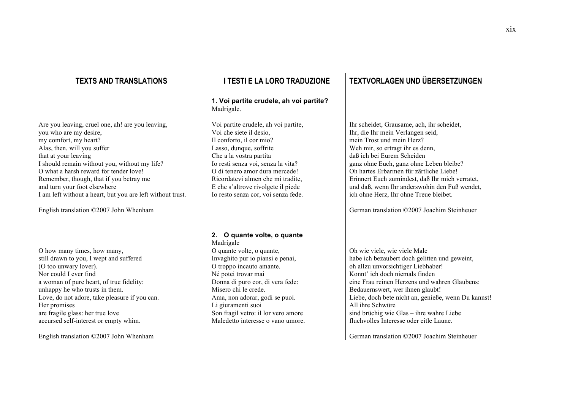Are you leaving, cruel one, ah! are you leaving, you who are my desire, my comfort, my heart? Alas, then, will you suffer that at your leaving I should remain without you, without my life? O what a harsh reward for tender love! Remember, though, that if you betray me and turn your foot elsewhere I am left without a heart, but you are left without trust.

English translation ©2007 John Whenham

O how many times, how many, still drawn to you, I wept and suffered (O too unwary lover). Nor could I ever find a woman of pure heart, of true fidelity: unhappy he who trusts in them. Love, do not adore, take pleasure if you can. Her promises are fragile glass: her true love accursed self-interest or empty whim.

English translation ©2007 John Whenham

### **1. Voi partite crudele, ah voi partite?** Madrigale.

Voi partite crudele, ah voi partite, Voi che siete il desio, Il conforto, il cor mio? Lasso, dunque, soffrite Che a la vostra partita Io resti senza voi, senza la vita? O di tenero amor dura mercede! Ricordatevi almen che mi tradite, E che s'altrove rivolgete il piede Io resto senza cor, voi senza fede.

#### **2. O quante volte, o quante** Madrigale

O quante volte, o quante, Invaghito pur io piansi e penai, O troppo incauto amante. Né potei trovar mai Donna di puro cor, di vera fede: Misero chi le crede. Ama, non adorar, godi se puoi. Li giuramenti suoi Son fragil vetro: il lor vero amore Maledetto interesse o vano umore.

# **TEXTS AND TRANSLATIONS I TESTI E LA LORO TRADUZIONE TEXTVORLAGEN UND ÜBERSETZUNGEN**

Ihr scheidet, Grausame, ach, ihr scheidet, Ihr, die Ihr mein Verlangen seid, mein Trost und mein Herz? Weh mir, so ertragt ihr es denn, daß ich bei Eurem Scheiden ganz ohne Euch, ganz ohne Leben bleibe? Oh hartes Erbarmen für zärtliche Liebe! Erinnert Euch zumindest, daß Ihr mich verratet, und daß, wenn Ihr anderswohin den Fuß wendet ich ohne Herz, Ihr ohne Treue bleibet.

German translation ©2007 Joachim Steinheuer

Oh wie viele, wie viele Male habe ich bezaubert doch gelitten und geweint, oh allzu unvorsichtiger Liebhaber! Konnt' ich doch niemals finden eine Frau reinen Herzens und wahren Glaubens: Bedauernswert, wer ihnen glaubt! Liebe, doch bete nicht an, genieße, wenn Du kannst! All ihre Schwüre sind brüchig wie Glas – ihre wahre Liebe fluchvolles Interesse oder eitle Laune.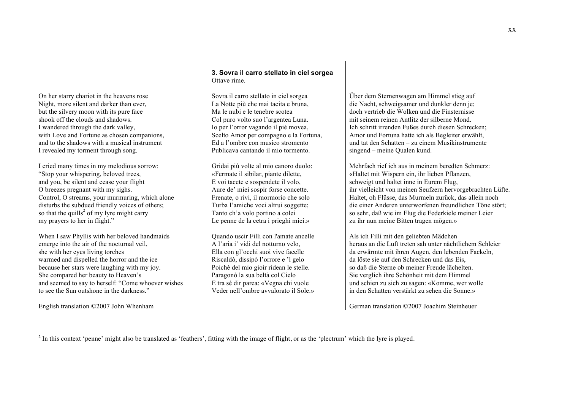On her starry chariot in the heavens rose Night, more silent and darker than ever, but the silvery moon with its pure face shook off the clouds and shadows. I wandered through the dark valley, with Love and Fortune as chosen companions, and to the shadows with a musical instrument I revealed my torment through song.

I cried many times in my melodious sorrow: "Stop your whispering, beloved trees, and you, be silent and cease your flight O breezes pregnant with my sighs. Control, O streams, your murmuring, which alone disturbs the subdued friendly voices of others; so that the quills<sup>2</sup> of my lyre might carry my prayers to her in flight."

When I saw Phyllis with her beloved handmaids emerge into the air of the nocturnal veil, she with her eyes living torches warmed and dispelled the horror and the ice because her stars were laughing with my joy. She compared her beauty to Heaven's and seemed to say to herself: "Come whoever wishes to see the Sun outshone in the darkness."

English translation ©2007 John Whenham

 $\overline{a}$ 

# **3. Sovra il carro stellato in ciel sorgea** Ottave rime.

Sovra il carro stellato in ciel sorgea La Notte più che mai tacita e bruna, Ma le nubi e le tenebre scotea Col puro volto suo l'argentea Luna. Io per l'orror vagando il piè movea, Scelto Amor per compagno e la Fortuna, Ed a l'ombre con musico stromento Publicava cantando il mio tormento.

Gridai più volte al mio canoro duolo: «Fermate il sibilar, piante dilette, E voi tacete e sospendete il volo, Aure de' miei sospir forse concette. Frenate, o rivi, il mormorio che solo Turba l'amiche voci altrui soggette; Tanto ch'a volo portino a colei Le penne de la cetra i prieghi miei.»

Quando uscir Filli con l'amate ancelle A l'aria i' vidi del notturno velo, Ella con gl'occhi suoi vive facelle Riscaldò, dissipò l'orrore e 'l gelo Poiché del mio gioir ridean le stelle. Paragonò la sua beltà col Cielo E tra sé dir parea: «Vegna chi vuole Veder nell'ombre avvalorato il Sole.»

Über dem Sternenwagen am Himmel stieg auf die Nacht, schweigsamer und dunkler denn je; doch vertrieb die Wolken und die Finsternisse mit seinem reinen Antlitz der silberne Mond. Ich schritt irrenden Fußes durch diesen Schrecken; Amor und Fortuna hatte ich als Begleiter erwählt, und tat den Schatten – zu einem Musikinstrumente singend – meine Qualen kund.

Mehrfach rief ich aus in meinem beredten Schmerz: «Haltet mit Wispern ein, ihr lieben Pflanzen, schweigt und haltet inne in Eurem Flug, ihr vielleicht von meinen Seufzern hervorgebrachten Lüfte. Haltet, oh Flüsse, das Murmeln zurück, das allein noch die einer Anderen unterworfenen freundlichen Töne stört; so sehr, daß wie im Flug die Federkiele meiner Leier zu ihr nun meine Bitten tragen mögen.»

Als ich Filli mit den geliebten Mädchen heraus an die Luft treten sah unter nächtlichem Schleier da erwärmte mit ihren Augen, den lebenden Fackeln, da löste sie auf den Schrecken und das Eis, so daß die Sterne ob meiner Freude lächelten. Sie verglich ihre Schönheit mit dem Himmel und schien zu sich zu sagen: «Komme, wer wolle in den Schatten verstärkt zu sehen die Sonne.»

<sup>&</sup>lt;sup>2</sup> In this context 'penne' might also be translated as 'feathers', fitting with the image of flight, or as the 'plectrum' which the lyre is played.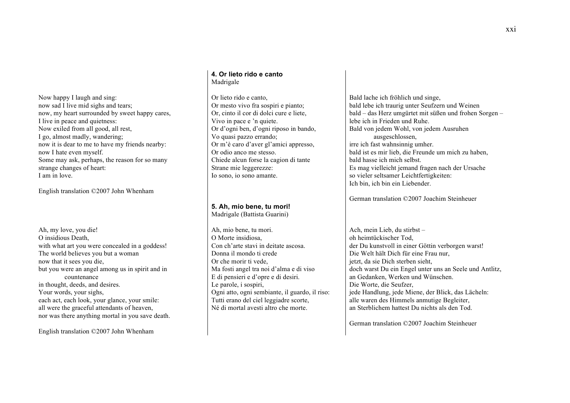Now happy I laugh and sing: now sad I live mid sighs and tears; now, my heart surrounded by sweet happy cares, I live in peace and quietness: Now exiled from all good, all rest, I go, almost madly, wandering; now it is dear to me to have my friends nearby: now I hate even myself. Some may ask, perhaps, the reason for so many strange changes of heart: I am in love.

English translation ©2007 John Whenham

Ah, my love, you die! O insidious Death, with what art you were concealed in a goddess! The world believes you but a woman now that it sees you die, but you were an angel among us in spirit and in countenance in thought, deeds, and desires. Your words, your sighs, each act, each look, your glance, your smile: all were the graceful attendants of heaven, nor was there anything mortal in you save death.

English translation ©2007 John Whenham

### **4. Or lieto rido e canto** Madrigale

Or lieto rido e canto, Or mesto vivo fra sospiri e pianto; Or, cinto il cor di dolci cure e liete, Vivo in pace e 'n quiete. Or d'ogni ben, d'ogni riposo in bando, Vo quasi pazzo errando; Or m'è caro d'aver gl'amici appresso, Or odio anco me stesso. Chiede alcun forse la cagion di tante Strane mie leggerezze: Io sono, io sono amante.

# **5. Ah, mio bene, tu mori!**

Madrigale (Battista Guarini)

Ah, mio bene, tu mori. O Morte insidiosa, Con ch'arte stavi in deitate ascosa. Donna il mondo ti crede Or che morir ti vede, Ma fosti angel tra noi d'alma e di viso E di pensieri e d'opre e di desiri. Le parole, i sospiri, Ogni atto, ogni sembiante, il guardo, il riso: Tutti erano del ciel leggiadre scorte, Né di mortal avesti altro che morte.

Bald lache ich fröhlich und singe, bald lebe ich traurig unter Seufzern und Weinen bald – das Herz umgürtet mit süßen und frohen Sorgen – lebe ich in Frieden und Ruhe. Bald von jedem Wohl, von jedem Ausruhen ausgeschlossen, irre ich fast wahnsinnig umher. bald ist es mir lieb, die Freunde um mich zu haben, bald hasse ich mich selbst. Es mag vielleicht jemand fragen nach der Ursache so vieler seltsamer Leichtfertigkeiten: Ich bin, ich bin ein Liebender.

German translation ©2007 Joachim Steinheuer

Ach, mein Lieb, du stirbst – oh heimtückischer Tod, der Du kunstvoll in einer Göttin verborgen warst! Die Welt hält Dich für eine Frau nur, jetzt, da sie Dich sterben sieht, doch warst Du ein Engel unter uns an Seele und Antlitz, an Gedanken, Werken und Wünschen. Die Worte, die Seufzer, jede Handlung, jede Miene, der Blick, das Lächeln: alle waren des Himmels anmutige Begleiter, an Sterblichem hattest Du nichts als den Tod.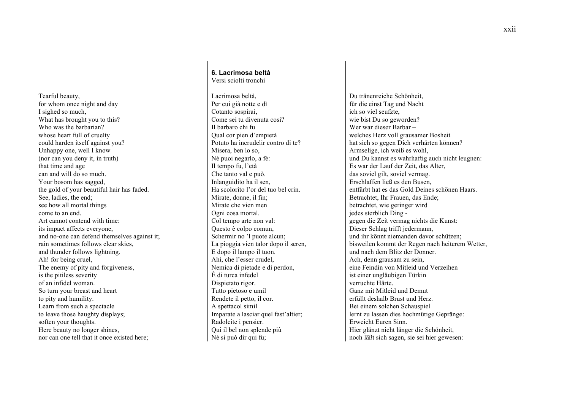Tearful beauty, for whom once night and day I sighed so much, What has brought you to this? Who was the barbarian? whose heart full of cruelty could harden itself against you? Unhappy one, well I know (nor can you deny it, in truth) that time and age can and will do so much. Your bosom has sagged. the gold of your beautiful hair has faded. See, ladies, the end; see how all mortal things come to an end. Art cannot contend with time: its impact affects everyone, and no-one can defend themselves against it; rain sometimes follows clear skies, and thunder follows lightning. Ah! for being cruel, The enemy of pity and forgiveness, is the pitiless severity of an infidel woman. So turn your breast and heart to pity and humility. Learn from such a spectacle to leave those haughty displays; soften your thoughts. Here beauty no longer shines, nor can one tell that it once existed here;

### **6. Lacrimosa beltà** Versi sciolti tronchi

Lacrimosa beltà, Per cui già notte e dì Cotanto sospirai. Come sei tu divenuta così? Il barbaro chi fu Qual cor pien d'empietà Potuto ha incrudelir contro di te? Misera, ben lo so, Né puoi negarlo, a fè: Il tempo fu, l'età Che tanto val e può. Inlanguidito ha il sen, Ha scolorito l'or del tuo bel crin. Mirate, donne, il fin; Mirate che vien men Ogni cosa mortal. Col tempo arte non val: Questo è colpo comun, Schermir no 'l puote alcun; La pioggia vien talor dopo il seren, E dopo il lampo il tuon. Ahi, che l'esser crudel, Nemica di pietade e di perdon, È di turca infedel Dispietato rigor. Tutto pietoso e umil Rendete il petto, il cor. A spettacol simil Imparate a lasciar quel fast'altier; Radolcite i pensier. Qui il bel non splende più Né si può dir qui fu;

Du tränenreiche Schönheit, für die einst Tag und Nacht ich so viel seufzte, wie bist Du so geworden? Wer war dieser Barbar – welches Herz voll grausamer Bosheit hat sich so gegen Dich verhärten können? Armselige, ich weiß es wohl, und Du kannst es wahrhaftig auch nicht leugnen: Es war der Lauf der Zeit, das Alter, das soviel gilt, soviel vermag. Erschlaffen ließ es den Busen, entfärbt hat es das Gold Deines schönen Haars. Betrachtet, Ihr Frauen, das Ende; betrachtet, wie geringer wird jedes sterblich Ding gegen die Zeit vermag nichts die Kunst: Dieser Schlag trifft jedermann, und ihr könnt niemanden davor schützen; bisweilen kommt der Regen nach heiterem Wetter, und nach dem Blitz der Donner. Ach, denn grausam zu sein, eine Feindin von Mitleid und Verzeihen ist einer ungläubigen Türkin verruchte Härte. Ganz mit Mitleid und Demut erfüllt deshalb Brust und Herz. Bei einem solchen Schauspiel lernt zu lassen dies hochmütige Gepränge: Erweicht Euren Sinn. Hier glänzt nicht länger die Schönheit, noch läßt sich sagen, sie sei hier gewesen: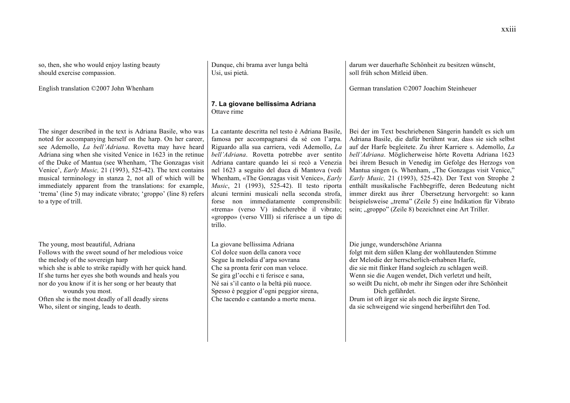so, then, she who would enjoy lasting beauty should exercise compassion.

English translation ©2007 John Whenham

Dunque, chi brama aver lunga beltà Usi, usi pietà.

**7. La giovane bellissima Adriana** Ottave rime

The singer described in the text is Adriana Basile, who was noted for accompanying herself on the harp. On her career, see Ademollo, *La bell'Adriana*. Rovetta may have heard Adriana sing when she visited Venice in 1623 in the retinue of the Duke of Mantua (see Whenham, 'The Gonzagas visit Venice', *Early Music,* 21 (1993), 525-42). The text contains musical terminology in stanza 2, not all of which will be immediately apparent from the translations: for example, 'trema' (line 5) may indicate vibrato; 'groppo' (line 8) refers to a type of trill.

The young, most beautiful, Adriana Follows with the sweet sound of her melodious voice the melody of the sovereign harp which she is able to strike rapidly with her quick hand. If she turns her eyes she both wounds and heals you nor do you know if it is her song or her beauty that wounds you most. Often she is the most deadly of all deadly sirens Who, silent or singing, leads to death.

La cantante descritta nel testo è Adriana Basile, famosa per accompagnarsi da sé con l'arpa. Riguardo alla sua carriera, vedi Ademollo, *La bell'Adriana*. Rovetta potrebbe aver sentito Adriana cantare quando lei si recò a Venezia nel 1623 a seguito del duca di Mantova (vedi Whenham, «The Gonzagas visit Venice», *Early Music*, 21 (1993), 525-42). Il testo riporta alcuni termini musicali nella seconda strofa, forse non immediatamente comprensibili: «trema» (verso V) indicherebbe il vibrato; «groppo» (verso VIII) si riferisce a un tipo di trillo.

La giovane bellissima Adriana Col dolce suon della canora voce Segue la melodia d'arpa sovrana Che sa pronta ferir con man veloce. Se gira gl'occhi e ti ferisce e sana, Né sai s'il canto o la beltà più nuoce. Spesso è peggior d'ogni peggior sirena, Che tacendo e cantando a morte mena.

darum wer dauerhafte Schönheit zu besitzen wünscht, soll früh schon Mitleid üben.

German translation ©2007 Joachim Steinheuer

Bei der im Text beschriebenen Sängerin handelt es sich um Adriana Basile, die dafür berühmt war, dass sie sich selbst auf der Harfe begleitete. Zu ihrer Karriere s. Ademollo, *La bell'Adriana*. Möglicherweise hörte Rovetta Adriana 1623 bei ihrem Besuch in Venedig im Gefolge des Herzogs von Mantua singen (s. Whenham, "The Gonzagas visit Venice," *Early Music,* 21 (1993), 525-42). Der Text von Strophe 2 enthält musikalische Fachbegriffe, deren Bedeutung nicht immer direkt aus ihrer Übersetzung hervorgeht: so kann beispielsweise "trema" (Zeile 5) eine Indikation für Vibrato sein; "groppo" (Zeile 8) bezeichnet eine Art Triller.

Die junge, wunderschöne Arianna folgt mit dem süßen Klang der wohllautenden Stimme der Melodie der herrscherlich-erhabnen Harfe, die sie mit flinker Hand sogleich zu schlagen weiß. Wenn sie die Augen wendet, Dich verletzt und heilt, so weißt Du nicht, ob mehr ihr Singen oder ihre Schönheit Dich gefährdet. Drum ist oft ärger sie als noch die ärgste Sirene,

da sie schweigend wie singend herbeiführt den Tod.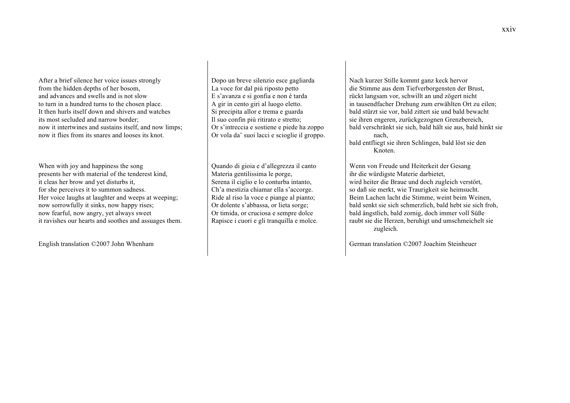After a brief silence her voice issues strongly from the hidden depths of her bosom, and advances and swells and is not slow to turn in a hundred turns to the chosen place. It then hurls itself down and shivers and watches its most secluded and narrow border; now it intertwines and sustains itself, and now limps; now it flies from its snares and looses its knot.

When with joy and happiness the song presents her with material of the tenderest kind, it cleas her brow and yet disturbs it, for she perceives it to summon sadness. Her voice laughs at laughter and weeps at weeping; now sorrowfully it sinks, now happy rises; now fearful, now angry, yet always sweet it ravishes our hearts and soothes and assuages them.

English translation ©2007 John Whenham

Dopo un breve silenzio esce gagliarda La voce for dal più riposto petto E s'avanza e si gonfia e non è tarda A gir in cento giri al luogo eletto. Si precipita allor e trema e guarda Il suo confin più ritirato e stretto; Or s'intreccia e sostiene e piede ha zoppo Or vola da' suoi lacci e scioglie il groppo.

Quando di gioia e d'allegrezza il canto Materia gentilissima le porge, Serena il ciglio e lo conturba intanto, Ch'a mestizia chiamar ella s'accorge. Ride al riso la voce e piange al pianto; Or dolente s'abbassa, or lieta sorge; Or timida, or cruciosa e sempre dolce Rapisce i cuori e gli tranquilla e molce. Nach kurzer Stille kommt ganz keck hervor die Stimme aus dem Tiefverborgensten der Brust, rückt langsam vor, schwillt an und zögert nicht in tausendfacher Drehung zum erwählten Ort zu eilen; bald stürzt sie vor, bald zittert sie und bald bewacht sie ihren engeren, zurückgezognen Grenzbereich, bald verschränkt sie sich, bald hält sie aus, bald hinkt sie nach,

bald entfliegt sie ihren Schlingen, bald löst sie den Knoten.

Wenn von Freude und Heiterkeit der Gesang ihr die würdigste Materie darbietet, wird heiter die Braue und doch zugleich verstört, so daß sie merkt, wie Traurigkeit sie heimsucht. Beim Lachen lacht die Stimme, weint beim Weinen, bald senkt sie sich schmerzlich, bald hebt sie sich froh, bald ängstlich, bald zornig, doch immer voll Süße raubt sie die Herzen, beruhigt und umschmeichelt sie zugleich.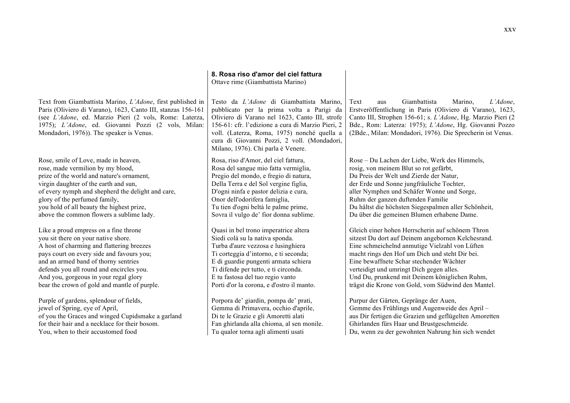|                                                                                                                                                                                                                                                                                        | 8. Rosa riso d'amor del ciel fattura<br>Ottave rime (Giambattista Marino)                                                                                                                                                                                                                                                        |                                                                                                                                                                                                                                                                                                        |
|----------------------------------------------------------------------------------------------------------------------------------------------------------------------------------------------------------------------------------------------------------------------------------------|----------------------------------------------------------------------------------------------------------------------------------------------------------------------------------------------------------------------------------------------------------------------------------------------------------------------------------|--------------------------------------------------------------------------------------------------------------------------------------------------------------------------------------------------------------------------------------------------------------------------------------------------------|
| Text from Giambattista Marino, L'Adone, first published in<br>Paris (Oliviero di Varano), 1623, Canto III, stanzas 156-161<br>(see L'Adone, ed. Marzio Pieri (2 vols, Rome: Laterza,<br>1975); L'Adone, ed. Giovanni Pozzi (2 vols, Milan:<br>Mondadori, 1976)). The speaker is Venus. | Testo da L'Adone di Giambattista Marino,<br>pubblicato per la prima volta a Parigi da<br>Oliviero di Varano nel 1623, Canto III, strofe<br>156-61: cfr. l'edizione a cura di Marzio Pieri, 2<br>voll. (Laterza, Roma, 1975) nonché quella a<br>cura di Giovanni Pozzi, 2 voll. (Mondadori,<br>Milano, 1976). Chi parla è Venere. | Giambattista<br>L'Adone,<br>Text<br>Marino.<br>aus<br>Erstveröffentlichung in Paris (Oliviero di Varano), 1623,<br>Canto III, Strophen 156-61; s. L'Adone, Hg. Marzio Pieri (2<br>Bde., Rom: Laterza: 1975); L'Adone, Hg. Giovanni Pozzo<br>(2Bde., Milan: Mondadori, 1976). Die Sprecherin ist Venus. |
| Rose, smile of Love, made in heaven,                                                                                                                                                                                                                                                   | Rosa, riso d'Amor, del ciel fattura,                                                                                                                                                                                                                                                                                             | Rose – Du Lachen der Liebe, Werk des Himmels,                                                                                                                                                                                                                                                          |
| rose, made vermilion by my blood,                                                                                                                                                                                                                                                      | Rosa del sangue mio fatta vermiglia,                                                                                                                                                                                                                                                                                             | rosig, von meinem Blut so rot gefärbt,                                                                                                                                                                                                                                                                 |
| prize of the world and nature's ornament,                                                                                                                                                                                                                                              | Pregio del mondo, e fregio di natura,                                                                                                                                                                                                                                                                                            | Du Preis der Welt und Zierde der Natur,                                                                                                                                                                                                                                                                |
| virgin daughter of the earth and sun,                                                                                                                                                                                                                                                  | Della Terra e del Sol vergine figlia,                                                                                                                                                                                                                                                                                            | der Erde und Sonne jungfräuliche Tochter,                                                                                                                                                                                                                                                              |
| of every nymph and shepherd the delight and care,                                                                                                                                                                                                                                      | D'ogni ninfa e pastor delizia e cura,                                                                                                                                                                                                                                                                                            | aller Nymphen und Schäfer Wonne und Sorge,                                                                                                                                                                                                                                                             |
| glory of the perfumed family,                                                                                                                                                                                                                                                          | Onor dell'odorifera famiglia,                                                                                                                                                                                                                                                                                                    | Ruhm der ganzen duftenden Familie                                                                                                                                                                                                                                                                      |
| you hold of all beauty the highest prize,                                                                                                                                                                                                                                              | Tu tien d'ogni beltà le palme prime,                                                                                                                                                                                                                                                                                             | Du hältst die höchsten Siegespalmen aller Schönheit,                                                                                                                                                                                                                                                   |
| above the common flowers a sublime lady.                                                                                                                                                                                                                                               | Sovra il vulgo de' fior donna sublime.                                                                                                                                                                                                                                                                                           | Du über die gemeinen Blumen erhabene Dame.                                                                                                                                                                                                                                                             |
| Like a proud empress on a fine throne                                                                                                                                                                                                                                                  | Quasi in bel trono imperatrice altera                                                                                                                                                                                                                                                                                            | Gleich einer hohen Herrscherin auf schönem Thron                                                                                                                                                                                                                                                       |
| you sit there on your native shore.                                                                                                                                                                                                                                                    | Siedi colà su la nativa sponda.                                                                                                                                                                                                                                                                                                  | sitzest Du dort auf Deinem angebornen Kelchesrand.                                                                                                                                                                                                                                                     |
| A host of charming and flattering breezes                                                                                                                                                                                                                                              | Turba d'aure vezzosa e lusinghiera                                                                                                                                                                                                                                                                                               | Eine schmeichelnd anmutige Vielzahl von Lüften                                                                                                                                                                                                                                                         |
| pays court on every side and favours you;                                                                                                                                                                                                                                              | Ti corteggia d'intorno, e ti seconda;                                                                                                                                                                                                                                                                                            | macht rings den Hof um Dich und steht Dir bei.                                                                                                                                                                                                                                                         |
| and an armed band of thorny sentries                                                                                                                                                                                                                                                   | E di guardie pungenti armata schiera                                                                                                                                                                                                                                                                                             | Eine bewaffnete Schar stechender Wächter                                                                                                                                                                                                                                                               |
| defends you all round and encircles you.                                                                                                                                                                                                                                               | Ti difende per tutto, e ti circonda.                                                                                                                                                                                                                                                                                             | verteidigt und umringt Dich gegen alles.                                                                                                                                                                                                                                                               |
| And you, gorgeous in your regal glory                                                                                                                                                                                                                                                  | E tu fastosa del tuo regio vanto                                                                                                                                                                                                                                                                                                 | Und Du, prunkend mit Deinem königlichen Ruhm,                                                                                                                                                                                                                                                          |
| bear the crown of gold and mantle of purple.                                                                                                                                                                                                                                           | Porti d'or la corona, e d'ostro il manto.                                                                                                                                                                                                                                                                                        | trägst die Krone von Gold, vom Südwind den Mantel.                                                                                                                                                                                                                                                     |
| Purple of gardens, splendour of fields,                                                                                                                                                                                                                                                | Porpora de' giardin, pompa de' prati,                                                                                                                                                                                                                                                                                            | Purpur der Gärten, Gepränge der Auen,                                                                                                                                                                                                                                                                  |
| jewel of Spring, eye of April,                                                                                                                                                                                                                                                         | Gemma di Primavera, occhio d'aprile,                                                                                                                                                                                                                                                                                             | Gemme des Frühlings und Augenweide des April-                                                                                                                                                                                                                                                          |
| of you the Graces and winged Cupidsmake a garland                                                                                                                                                                                                                                      | Di te le Grazie e gli Amoretti alati                                                                                                                                                                                                                                                                                             | aus Dir fertigen die Grazien und geflügelten Amoretten                                                                                                                                                                                                                                                 |
| for their hair and a necklace for their bosom.                                                                                                                                                                                                                                         | Fan ghirlanda alla chioma, al sen monile.                                                                                                                                                                                                                                                                                        | Ghirlanden fürs Haar und Brustgeschmeide.                                                                                                                                                                                                                                                              |
| You, when to their accustomed food                                                                                                                                                                                                                                                     | Tu qualor torna agli alimenti usati                                                                                                                                                                                                                                                                                              | Du, wenn zu der gewohnten Nahrung hin sich wendet                                                                                                                                                                                                                                                      |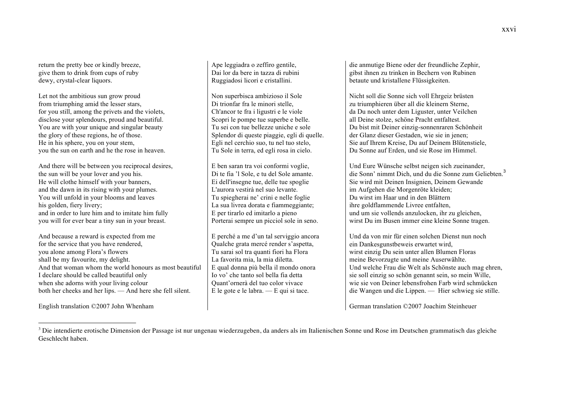return the pretty bee or kindly breeze, give them to drink from cups of ruby dewy, crystal-clear liquors.

Let not the ambitious sun grow proud from triumphing amid the lesser stars, for you still, among the privets and the violets, disclose your splendours, proud and beautiful. You are with your unique and singular beauty the glory of these regions, he of those. He in his sphere, you on your stem, you the sun on earth and he the rose in heaven.

And there will be between you reciprocal desires, the sun will be your lover and you his. He will clothe himself with your banners, and the dawn in its rising with your plumes. You will unfold in your blooms and leaves his golden, fiery livery; and in order to lure him and to imitate him fully you will for ever bear a tiny sun in your breast.

And because a reward is expected from me for the service that you have rendered, you alone among Flora's flowers shall be my favourite, my delight. And that woman whom the world honours as most beautiful I declare should be called beautiful only when she adorns with your living colour both her cheeks and her lips. — And here she fell silent.

English translation ©2007 John Whenham

 $\overline{a}$ 

Ape leggiadra o zeffiro gentile, Dai lor da bere in tazza di rubini Ruggiadosi licori e cristallini.

Non superbisca ambizioso il Sole Di trionfar fra le minori stelle, Ch'ancor te fra i ligustri e le viole Scopri le pompe tue superbe e belle. Tu sei con tue bellezze uniche e sole Splendor di queste piaggie, egli di quelle. Egli nel cerchio suo, tu nel tuo stelo, Tu Sole in terra, ed egli rosa in cielo.

E ben saran tra voi conformi voglie, Di te fia 'l Sole, e tu del Sole amante. Ei dell'insegne tue, delle tue spoglie L'aurora vestirà nel suo levante. Tu spiegherai ne' crini e nelle foglie La sua livrea dorata e fiammeggiante; E per tirarlo ed imitarlo a pieno Porterai sempre un picciol sole in seno.

E perché a me d'un tal serviggio ancora Qualche grata mercé render s'aspetta, Tu sarai sol tra quanti fiori ha Flora La favorita mia, la mia diletta. E qual donna più bella il mondo onora Io vo' che tanto sol bella fia detta Quant'ornerà del tuo color vivace E le gote e le labra. — E qui si tace.

die anmutige Biene oder der freundliche Zephir, gibst ihnen zu trinken in Bechern von Rubinen betaute und kristallene Flüssigkeiten.

Nicht soll die Sonne sich voll Ehrgeiz brüsten zu triumphieren über all die kleinern Sterne, da Du noch unter dem Liguster, unter Veilchen all Deine stolze, schöne Pracht entfaltest. Du bist mit Deiner einzig-sonnenraren Schönheit der Glanz dieser Gestaden, wie sie in jenen; Sie auf Ihrem Kreise, Du auf Deinem Blütenstiele, Du Sonne auf Erden, und sie Rose im Himmel.

Und Eure Wünsche selbst neigen sich zueinander, die Sonn' nimmt Dich, und du die Sonne zum Geliebten.<sup>3</sup> Sie wird mit Deinen Insignien, Deinem Gewande im Aufgehen die Morgenröte kleiden; Du wirst im Haar und in den Blättern ihre goldflammende Livree entfalten, und um sie vollends anzulocken, ihr zu gleichen, wirst Du im Busen immer eine kleine Sonne tragen.

Und da von mir für einen solchen Dienst nun noch ein Dankesgunstbeweis erwartet wird, wirst einzig Du sein unter allen Blumen Floras meine Bevorzugte und meine Auserwählte. Und welche Frau die Welt als Schönste auch mag ehren, sie soll einzig so schön genannt sein, so mein Wille, wie sie von Deiner lebensfrohen Farb wird schmücken die Wangen und die Lippen. — Hier schwieg sie stille.

<sup>&</sup>lt;sup>3</sup> Die intendierte erotische Dimension der Passage ist nur ungenau wiederzugeben, da anders als im Italienischen Sonne und Rose im Deutschen grammatisch das gleiche Geschlecht haben.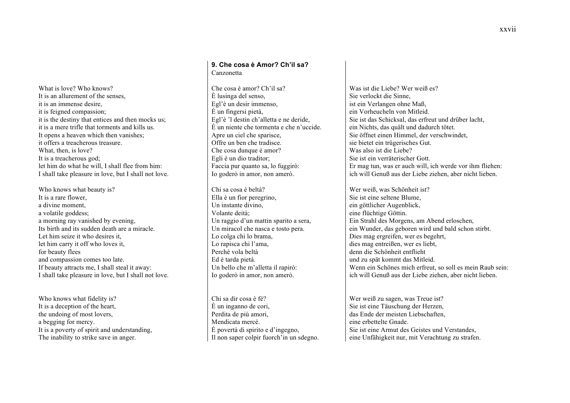What is love? Who knows? It is an allurement of the senses, it is an immense desire, it is feigned compassion; it is the destiny that entices and then mocks us; it is a mere trifle that torments and kills us. It opens a heaven which then vanishes; it offers a treacherous treasure. What, then, is love? It is a treacherous god; let him do what he will, I shall flee from him: I shall take pleasure in love, but I shall not love.

Who knows what beauty is? It is a rare flower, a divine moment, a volatile goddess; a morning ray vanished by evening, Its birth and its sudden death are a miracle. Let him seize it who desires it let him carry it off who loves it, for beauty flees and compassion comes too late. If beauty attracts me, I shall steal it away: I shall take pleasure in love, but I shall not love.

Who knows what fidelity is? It is a deception of the heart, the undoing of most lovers, a begging for mercy. It is a poverty of spirit and understanding, The inability to strike save in anger.

### **9. Che cosa è Amor? Ch'il sa?** Canzonetta

Che cosa è amor? Ch'il sa? È lusinga del senso, Egl'è un desir immenso, È un fingersi pietà, Egl'è 'l destin ch'alletta e ne deride, È un niente che tormenta e che n'uccide. Apre un ciel che sparisce, Offre un ben che tradisce. Che cosa dunque è amor? Egli è un dio traditor; Faccia pur quanto sa, lo fuggirò: Io goderò in amor, non amerò.

Chi sa cosa è beltà? Ella è un fior peregrino, Un instante divino, Volante deità; Un raggio d'un mattin sparito a sera, Un miracol che nasca e tosto pera. Lo colga chi lo brama, Lo rapisca chi l'ama, Perché vola beltà Ed è tarda pietà. Un bello che m'alletta il rapirò: Io goderò in amor, non amerò.

Chi sa dir cosa è fé? È un inganno de cori, Perdita de più amori, Mendicata mercé. È povertà di spirito e d'ingegno, Il non saper colpir fuorch'in un sdegno.

Was ist die Liebe? Wer weiß es? Sie verlockt die Sinne, ist ein Verlangen ohne Maß, ein Vorheucheln von Mitleid. Sie ist das Schicksal, das erfreut und drüber lacht, ein Nichts, das quält und dadurch tötet. Sie öffnet einen Himmel, der verschwindet, sie bietet ein trügerisches Gut. Was also ist die Liebe? Sie ist ein verräterischer Gott. Er mag tun, was er auch will, ich werde vor ihm fliehen: ich will Genuß aus der Liebe ziehen, aber nicht lieben.

Wer weiß, was Schönheit ist? Sie ist eine seltene Blume, ein göttlicher Augenblick, eine flüchtige Göttin. Ein Strahl des Morgens, am Abend erloschen, ein Wunder, das geboren wird und bald schon stirbt. Dies mag ergreifen, wer es begehrt, dies mag entreißen, wer es liebt, denn die Schönheit entflieht und zu spät kommt das Mitleid. Wenn ein Schönes mich erfreut, so soll es mein Raub sein: ich will Genuß aus der Liebe ziehen, aber nicht lieben.

Wer weiß zu sagen, was Treue ist? Sie ist eine Täuschung der Herzen, das Ende der meisten Liebschaften, eine erbettelte Gnade. Sie ist eine Armut des Geistes und Verstandes, eine Unfähigkeit nur, mit Verachtung zu strafen.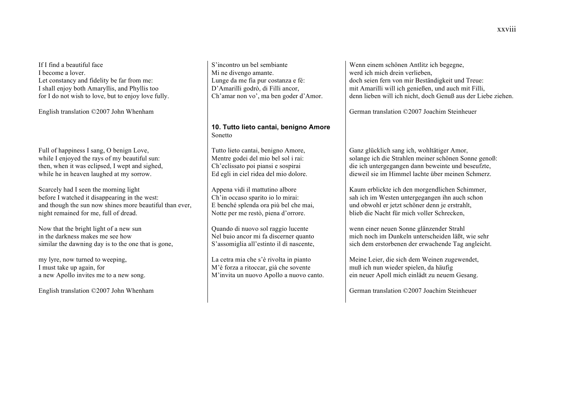If I find a beautiful face I become a lover. Let constancy and fidelity be far from me: I shall enjoy both Amaryllis, and Phyllis too for I do not wish to love, but to enjoy love fully.

English translation ©2007 John Whenham

Full of happiness I sang, O benign Love, while I enjoyed the rays of my beautiful sun: then, when it was eclipsed, I wept and sighed, while he in heaven laughed at my sorrow.

Scarcely had I seen the morning light before I watched it disappearing in the west: and though the sun now shines more beautiful than ever, night remained for me, full of dread.

Now that the bright light of a new sun in the darkness makes me see how similar the dawning day is to the one that is gone,

my lyre, now turned to weeping, I must take up again, for a new Apollo invites me to a new song.

English translation ©2007 John Whenham

S'incontro un bel sembiante Mi ne divengo amante. Lunge da me fia pur costanza e fé: D'Amarilli godrò, di Filli ancor, Ch'amar non vo', ma ben goder d'Amor.

# **10. Tutto lieto cantai, benigno Amore** Sonetto

Tutto lieto cantai, benigno Amore, Mentre godei del mio bel sol i rai: Ch'eclissato poi piansi e sospirai Ed egli in ciel ridea del mio dolore.

Appena vidi il mattutino albore Ch'in occaso sparito io lo mirai: E benché splenda ora più bel che mai, Notte per me restò, piena d'orrore.

Quando di nuovo sol raggio lucente Nel buio ancor mi fa discerner quanto S'assomiglia all'estinto il dì nascente,

La cetra mia che s'è rivolta in pianto M'è forza a ritoccar, già che sovente M'invita un nuovo Apollo a nuovo canto.

Wenn einem schönen Antlitz ich begegne, werd ich mich drein verlieben, doch seien fern von mir Beständigkeit und Treue: mit Amarilli will ich genießen, und auch mit Filli, denn lieben will ich nicht, doch Genuß aus der Liebe ziehen.

German translation ©2007 Joachim Steinheuer

Ganz glücklich sang ich, wohltätiger Amor, solange ich die Strahlen meiner schönen Sonne genoß: die ich untergegangen dann beweinte und beseufzte, dieweil sie im Himmel lachte über meinen Schmerz.

Kaum erblickte ich den morgendlichen Schimmer, sah ich im Westen untergegangen ihn auch schon und obwohl er jetzt schöner denn je erstrahlt, blieb die Nacht für mich voller Schrecken,

wenn einer neuen Sonne glänzender Strahl mich noch im Dunkeln unterscheiden läßt, wie sehr sich dem erstorbenen der erwachende Tag angleicht.

Meine Leier, die sich dem Weinen zugewendet, muß ich nun wieder spielen, da häufig ein neuer Apoll mich einlädt zu neuem Gesang.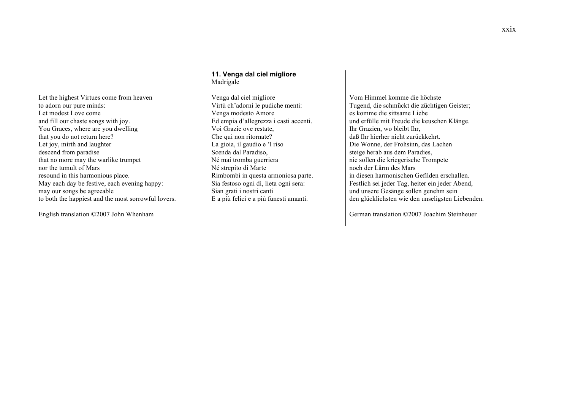Let the highest Virtues come from heaven to adorn our pure minds: Let modest Love come and fill our chaste songs with joy. You Graces, where are you dwelling that you do not return here? Let joy, mirth and laughter descend from paradise that no more may the warlike trumpet nor the tumult of Mars resound in this harmonious place. May each day be festive, each evening happy: may our songs be agreeable to both the happiest and the most sorrowful lovers.

English translation ©2007 John Whenham

### **11. Venga dal ciel migliore** Madrigale

Venga dal ciel migliore Virtù ch'adorni le pudiche menti: Venga modesto Amore Ed empia d'allegrezza i casti accenti. Voi Grazie ove restate, Che qui non ritornate? La gioia, il gaudio e 'l riso Scenda dal Paradiso, Né mai tromba guerriera Né strepito di Marte Rimbombi in questa armoniosa parte. Sia festoso ogni dì, lieta ogni sera: Sian grati i nostri canti E a più felici e a più funesti amanti.

Vom Himmel komme die höchste Tugend, die schmückt die züchtigen Geister; es komme die sittsame Liebe und erfülle mit Freude die keuschen Klänge. Ihr Grazien, wo bleibt Ihr, daß Ihr hierher nicht zurückkehrt. Die Wonne, der Frohsinn, das Lachen steige herab aus dem Paradies, nie sollen die kriegerische Trompete noch der Lärm des Mars in diesen harmonischen Gefilden erschallen. Festlich sei jeder Tag, heiter ein jeder Abend, und unsere Gesänge sollen genehm sein den glücklichsten wie den unseligsten Liebenden.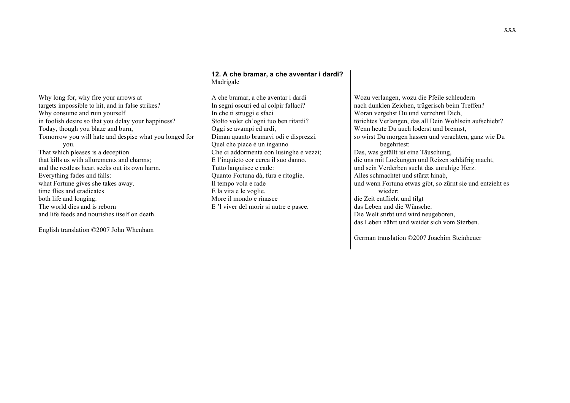Why long for, why fire your arrows at targets impossible to hit, and in false strikes? Why consume and ruin yourself in foolish desire so that you delay your happiness? Today, though you blaze and burn, Tomorrow you will hate and despise what you longed for you. That which pleases is a deception that kills us with allurements and charms;

and the restless heart seeks out its own harm. Everything fades and falls: what Fortune gives she takes away. time flies and eradicates both life and longing. The world dies and is reborn and life feeds and nourishes itself on death.

English translation ©2007 John Whenham

### **12. A che bramar, a che avventar i dardi?** Madrigale

A che bramar, a che aventar i dardi In segni oscuri ed al colpir fallaci? In che ti struggi e sfaci Stolto voler ch'ogni tuo ben ritardi? Oggi se avampi ed ardi, Diman quanto bramavi odi e disprezzi. Quel che piace è un inganno Che ci addormenta con lusinghe e vezzi; E l'inquieto cor cerca il suo danno. Tutto languisce e cade: Quanto Fortuna dà, fura e ritoglie. Il tempo vola e rade E la vita e le voglie. More il mondo e rinasce E 'l viver del morir si nutre e pasce.

Wozu verlangen, wozu die Pfeile schleudern nach dunklen Zeichen, trügerisch beim Treffen? Woran vergehst Du und verzehrst Dich, törichtes Verlangen, das all Dein Wohlsein aufschiebt? Wenn heute Du auch loderst und brennst, so wirst Du morgen hassen und verachten, ganz wie Du begehrtest: Das, was gefällt ist eine Täuschung, die uns mit Lockungen und Reizen schläfrig macht, und sein Verderben sucht das unruhige Herz. Alles schmachtet und stürzt hinab, und wenn Fortuna etwas gibt, so zürnt sie und entzieht es wieder; die Zeit entflieht und tilgt das Leben und die Wünsche. Die Welt stirbt und wird neugeboren, das Leben nährt und weidet sich vom Sterben.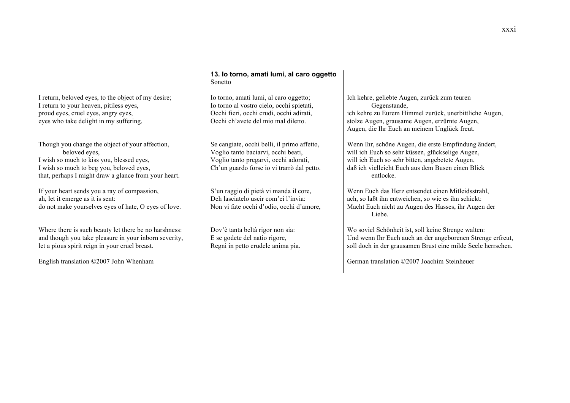I return, beloved eyes, to the object of my desire; I return to your heaven, pitiless eyes, proud eyes, cruel eyes, angry eyes, eyes who take delight in my suffering.

Though you change the object of your affection, beloved eyes, I wish so much to kiss you, blessed eyes, I wish so much to beg you, beloved eyes, that, perhaps I might draw a glance from your heart.

If your heart sends you a ray of compassion, ah, let it emerge as it is sent: do not make yourselves eyes of hate, O eyes of love.

Where there is such beauty let there be no harshness: and though you take pleasure in your inborn severity, let a pious spirit reign in your cruel breast.

English translation ©2007 John Whenham

## **13. Io torno, amati lumi, al caro oggetto** Sonetto

Io torno, amati lumi, al caro oggetto; Io torno al vostro cielo, occhi spietati, Occhi fieri, occhi crudi, occhi adirati, Occhi ch'avete del mio mal diletto.

Se cangiate, occhi belli, il primo affetto, Voglio tanto baciarvi, occhi beati, Voglio tanto pregarvi, occhi adorati, Ch'un guardo forse io vi trarrò dal petto.

S'un raggio di pietà vi manda il core, Deh lasciatelo uscir com'ei l'invia: Non vi fate occhi d'odio, occhi d'amore,

Dov'è tanta beltà rigor non sia: E se godete del natio rigore, Regni in petto crudele anima pia. Ich kehre, geliebte Augen, zurück zum teuren Gegenstande, ich kehre zu Eurem Himmel zurück, unerbittliche Augen, stolze Augen, grausame Augen, erzürnte Augen, Augen, die Ihr Euch an meinem Unglück freut.

Wenn Ihr, schöne Augen, die erste Empfindung ändert, will ich Euch so sehr küssen, glückselige Augen, will ich Euch so sehr bitten, angebetete Augen, daß ich vielleicht Euch aus dem Busen einen Blick entlocke.

Wenn Euch das Herz entsendet einen Mitleidsstrahl, ach, so laßt ihn entweichen, so wie es ihn schickt: Macht Euch nicht zu Augen des Hasses, ihr Augen der Liebe.

Wo soviel Schönheit ist, soll keine Strenge walten: Und wenn Ihr Euch auch an der angeborenen Strenge erfreut, soll doch in der grausamen Brust eine milde Seele herrschen.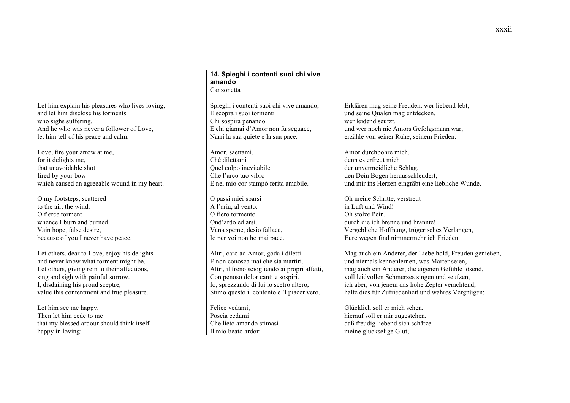Let him explain his pleasures who lives loving, and let him disclose his torments who sighs suffering. And he who was never a follower of Love, let him tell of his peace and calm.

Love, fire your arrow at me, for it delights me, that unavoidable shot fired by your bow which caused an agreeable wound in my heart.

O my footsteps, scattered to the air, the wind: O fierce torment whence I burn and burned. Vain hope, false desire, because of you I never have peace.

Let others. dear to Love, enjoy his delights and never know what torment might be. Let others, giving rein to their affections, sing and sigh with painful sorrow. I, disdaining his proud sceptre, value this contentment and true pleasure.

Let him see me happy, Then let him cede to me that my blessed ardour should think itself happy in loving:

### **14. Spieghi i contenti suoi chi vive amando** Canzonetta

Spieghi i contenti suoi chi vive amando, E scopra i suoi tormenti Chi sospira penando. E chi giamai d'Amor non fu seguace, Narri la sua quiete e la sua pace.

Amor, saettami, Ché dilettami Quel colpo inevitabile Che l'arco tuo vibrò E nel mio cor stampò ferita amabile.

O passi miei sparsi A l'aria, al vento: O fiero tormento Ond'ardo ed arsi. Vana speme, desio fallace, Io per voi non ho mai pace.

Altri, caro ad Amor, goda i diletti E non conosca mai che sia martiri. Altri, il freno sciogliendo ai propri affetti, Con penoso dolor canti e sospiri. Io, sprezzando di lui lo scetro altero, Stimo questo il contento e 'l piacer vero.

Felice vedami, Poscia cedami Che lieto amando stimasi Il mio beato ardor:

Erklären mag seine Freuden, wer liebend lebt, und seine Qualen mag entdecken, wer leidend seufzt. und wer noch nie Amors Gefolgsmann war, erzähle von seiner Ruhe, seinem Frieden.

Amor durchbohre mich, denn es erfreut mich der unvermeidliche Schlag, den Dein Bogen herausschleudert, und mir ins Herzen eingräbt eine liebliche Wunde.

Oh meine Schritte, verstreut in Luft und Wind! Oh stolze Pein, durch die ich brenne und brannte! Vergebliche Hoffnung, trügerisches Verlangen, Euretwegen find nimmermehr ich Frieden.

Mag auch ein Anderer, der Liebe hold, Freuden genießen, und niemals kennenlernen, was Marter seien, mag auch ein Anderer, die eigenen Gefühle lösend, voll leidvollen Schmerzes singen und seufzen, ich aber, von jenem das hohe Zepter verachtend, halte dies für Zufriedenheit und wahres Vergnügen:

Glücklich soll er mich sehen, hierauf soll er mir zugestehen, daß freudig liebend sich schätze meine glückselige Glut;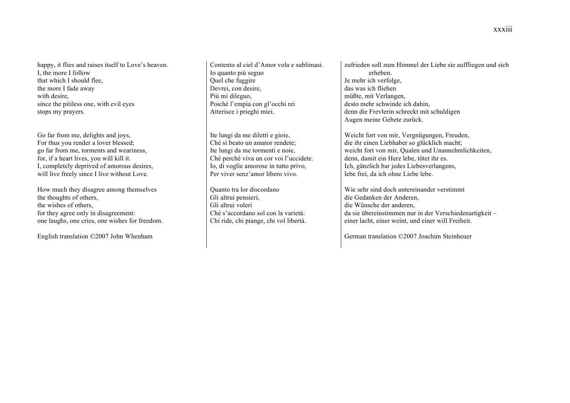happy, it flies and raises itself to Love's heaven. I, the more I follow that which I should flee, the more I fade away with desire, since the pitiless one, with evil eyes stops my prayers.

Go far from me, delights and joys, For thus you render a lover blessed; go far from me, torments and weariness, for, if a heart lives, you will kill it. I, completely deprived of amorous desires, will live freely since I live without Love.

How much they disagree among themselves the thoughts of others, the wishes of others, for they agree only in disagreement: one laughs, one cries, one wishes for freedom.

English translation ©2007 John Whenham

Contento al ciel d'Amor vola e sublimasi. Io quanto più seguo Quel che fuggire Devrei, con desire, Più mi dileguo, Poiché l'empia con gl'occhi rei Atterisce i prieghi miei.

Ite lungi da me diletti e gioie, Ché sì beato un amator rendete; Ite lungi da me tormenti e noie, Ché perché viva un cor voi l'uccidete. Io, di voglie amorose in tutto privo, Per viver senz'amor libero vivo.

Quanto tra lor discordano Gli altrui pensieri, Gli altrui voleri Ché s'accordano sol con la varietà: Chi ride, chi piange, chi vol libertà. zufrieden soll zum Himmel der Liebe sie auffliegen und sich erheben. Je mehr ich verfolge, das was ich fliehen müßte, mit Verlangen, desto mehr schwinde ich dahin, denn die Frevlerin schreckt mit schuldigen Augen meine Gebete zurück.

Weicht fort von mir, Vergnügungen, Freuden, die ihr einen Liebhaber so glücklich macht; weicht fort von mir, Qualen und Unannehmlichkeiten, denn, damit ein Herz lebe, tötet ihr es. Ich, gänzlich bar jedes Liebesverlangens, lebe frei, da ich ohne Liebe lebe.

Wie sehr sind doch untereinander verstimmt die Gedanken der Anderen, die Wünsche der anderen, da sie übereinstimmen nur in der Verschiedenartigkeit – einer lacht, einer weint, und einer will Freiheit.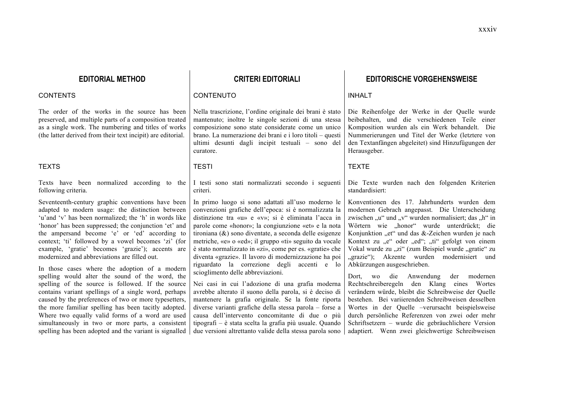The order of the works in the source has been preserved, and multiple parts of a composition treated as a single work. The numbering and titles of works (the latter derived from their text incipit) are editorial.

#### TEXTS TESTI TEXTE

Texts have been normalized according to the following criteria.

Seventeenth-century graphic conventions have been adapted to modern usage: the distinction between 'u'and 'v' has been normalized; the 'h' in words like 'honor' has been suppressed; the conjunction 'et' and the ampersand become 'e' or 'ed' according to context; 'ti' followed by a vowel becomes 'zi' (for example, 'gratie' becomes 'grazie'); accents are modernized and abbreviations are filled out.

In those cases where the adoption of a modern spelling would alter the sound of the word, the spelling of the source is followed. If the source contains variant spellings of a single word, perhaps caused by the preferences of two or more typesetters, the more familiar spelling has been tacitly adopted. Where two equally valid forms of a word are used simultaneously in two or more parts, a consistent spelling has been adopted and the variant is signalled

## CONTENTS CONTENUTO INHALT

Nella trascrizione, l'ordine originale dei brani è stato mantenuto; inoltre le singole sezioni di una stessa composizione sono state considerate come un unico brano. La numerazione dei brani e i loro titoli – questi ultimi desunti dagli incipit testuali – sono del curatore.

I testi sono stati normalizzati secondo i seguenti criteri.

In primo luogo si sono adattati all'uso moderno le convenzioni grafiche dell'epoca: si è normalizzata la distinzione tra «u» e «v»; si è eliminata l'acca in parole come «honor»; la congiunzione «et» e la nota tironiana (&) sono diventate, a seconda delle esigenze metriche, «e» o «ed»; il gruppo «ti» seguito da vocale è stato normalizzato in «zi», come per es. «gratie» che diventa «grazie». Il lavoro di modernizzazione ha poi riguardato la correzione degli accenti e lo scioglimento delle abbreviazioni.

Nei casi in cui l'adozione di una grafia moderna avrebbe alterato il suono della parola, si è deciso di mantenere la grafia originale. Se la fonte riporta diverse varianti grafiche della stessa parola – forse a causa dell'intervento concomitante di due o più tipografi – è stata scelta la grafia più usuale. Quando due versioni altrettanto valide della stessa parola sono

# **EDITORIAL METHOD CRITERI EDITORIALI EDITORISCHE VORGEHENSWEISE**

Die Reihenfolge der Werke in der Quelle wurde beibehalten, und die verschiedenen Teile einer Komposition wurden als ein Werk behandelt. Die Nummerierungen und Titel der Werke (letztere von den Textanfängen abgeleitet) sind Hinzufügungen der Herausgeber.

Die Texte wurden nach den folgenden Kriterien standardisiert:

Konventionen des 17. Jahrhunderts wurden dem modernen Gebrach angepasst. Die Unterscheidung zwischen " $u^{\prime\prime}$  und " $v^{\prime\prime}$  wurden normalisiert; das "h" in Wörtern wie "honor" wurde unterdrückt; die Konjunktion "et" und das  $&$ -Zeichen wurden je nach Kontext zu "e" oder "ed"; "ti" gefolgt von einem Vokal wurde zu "zi" (zum Beispiel wurde "gratie" zu "grazie"); Akzente wurden modernisiert und Abkürzungen ausgeschrieben.

Dort, wo die Anwendung der modernen Rechtschreiberegeln den Klang eines Wortes verändern würde, bleibt die Schreibweise der Quelle bestehen. Bei variierenden Schreibweisen desselben Wortes in der Quelle –verursacht beispielsweise durch persönliche Referenzen von zwei oder mehr Schriftsetzern – wurde die gebräuchlichere Version adaptiert. Wenn zwei gleichwertige Schreibweisen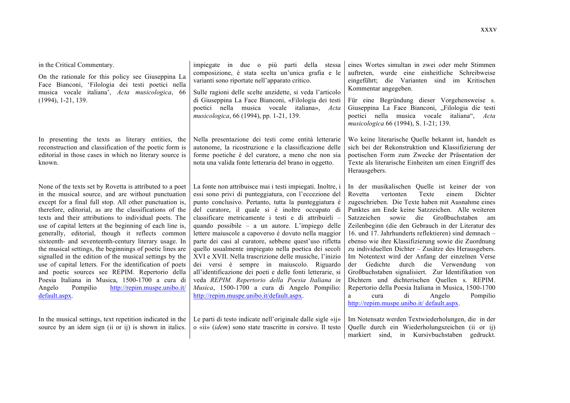| in the Critical Commentary.<br>On the rationale for this policy see Giuseppina La<br>Face Bianconi, 'Filologia dei testi poetici nella<br>musica vocale italiana', Acta musicologica, 66<br>$(1994), 1-21, 139.$                                                                                                                                                                                                                                                                                                                                                                                                                                                                                                                                                                                                                   | impiegate in due o più parti della stessa<br>composizione, è stata scelta un'unica grafia e le<br>varianti sono riportate nell'apparato critico.<br>Sulle ragioni delle scelte anzidette, si veda l'articolo<br>di Giuseppina La Face Bianconi, «Filologia dei testi<br>poetici nella musica vocale italiana»,<br>Acta<br>musicologica, 66 (1994), pp. 1-21, 139.                                                                                                                                                                                                                                                                                                                                                                                                                                                                        | eines Wortes simultan in zwei oder mehr Stimmen<br>auftreten, wurde eine einheitliche Schreibweise<br>eingeführt; die Varianten sind im Kritischen<br>Kommentar angegeben.                                                                                                                                                                                                                                                                                                                                                                                                                                                                                                                                                                                                                                                                         |
|------------------------------------------------------------------------------------------------------------------------------------------------------------------------------------------------------------------------------------------------------------------------------------------------------------------------------------------------------------------------------------------------------------------------------------------------------------------------------------------------------------------------------------------------------------------------------------------------------------------------------------------------------------------------------------------------------------------------------------------------------------------------------------------------------------------------------------|------------------------------------------------------------------------------------------------------------------------------------------------------------------------------------------------------------------------------------------------------------------------------------------------------------------------------------------------------------------------------------------------------------------------------------------------------------------------------------------------------------------------------------------------------------------------------------------------------------------------------------------------------------------------------------------------------------------------------------------------------------------------------------------------------------------------------------------|----------------------------------------------------------------------------------------------------------------------------------------------------------------------------------------------------------------------------------------------------------------------------------------------------------------------------------------------------------------------------------------------------------------------------------------------------------------------------------------------------------------------------------------------------------------------------------------------------------------------------------------------------------------------------------------------------------------------------------------------------------------------------------------------------------------------------------------------------|
|                                                                                                                                                                                                                                                                                                                                                                                                                                                                                                                                                                                                                                                                                                                                                                                                                                    |                                                                                                                                                                                                                                                                                                                                                                                                                                                                                                                                                                                                                                                                                                                                                                                                                                          | Für eine Begründung dieser Vorgehensweise s.<br>Giuseppina La Face Bianconi, "Filologia die testi<br>poetici nella musica vocale italiana", Acta<br>musicologica 66 (1994), S. 1-21; 139.                                                                                                                                                                                                                                                                                                                                                                                                                                                                                                                                                                                                                                                          |
| In presenting the texts as literary entities, the<br>reconstruction and classification of the poetic form is<br>editorial in those cases in which no literary source is<br>known.                                                                                                                                                                                                                                                                                                                                                                                                                                                                                                                                                                                                                                                  | Nella presentazione dei testi come entità letterarie<br>autonome, la ricostruzione e la classificazione delle<br>forme poetiche è del curatore, a meno che non sia<br>nota una valida fonte letteraria del brano in oggetto.                                                                                                                                                                                                                                                                                                                                                                                                                                                                                                                                                                                                             | Wo keine literarische Quelle bekannt ist, handelt es<br>sich bei der Rekonstruktion und Klassifizierung der<br>poetischen Form zum Zwecke der Präsentation der<br>Texte als literarische Einheiten um einen Eingriff des<br>Herausgebers.                                                                                                                                                                                                                                                                                                                                                                                                                                                                                                                                                                                                          |
| None of the texts set by Rovetta is attributed to a poet<br>in the musical source, and are without punctuation<br>except for a final full stop. All other punctuation is,<br>therefore, editorial, as are the classifications of the<br>texts and their attributions to individual poets. The<br>use of capital letters at the beginning of each line is,<br>generally, editorial, though it reflects common<br>sixteenth- and seventeenth-century literary usage. In<br>the musical settings, the beginnings of poetic lines are<br>signalled in the edition of the musical settings by the<br>use of capital letters. For the identification of poets<br>and poetic sources see REPIM. Repertorio della<br>Poesia Italiana in Musica, 1500-1700 a cura di<br>Pompilio<br>http://repim.muspe.unibo.it/<br>Angelo<br>default.aspx. | La fonte non attribuisce mai i testi impiegati. Inoltre, i<br>essi sono privi di punteggiatura, con l'eccezione del<br>punto conclusivo. Pertanto, tutta la punteggiatura è<br>del curatore, il quale si è inoltre occupato di<br>classificare metricamente i testi e di attribuirli -<br>quando possibile – a un autore. L'impiego delle<br>lettere maiuscole a capoverso è dovuto nella maggior<br>parte dei casi al curatore, sebbene quest'uso rifletta<br>quello usualmente impiegato nella poetica dei secoli<br>XVI e XVII. Nella trascrizione delle musiche, l'inizio<br>dei versi è sempre in maiuscolo. Riguardo<br>all'identificazione dei poeti e delle fonti letterarie, si<br>veda REPIM. Repertorio della Poesia Italiana in<br>Musica, 1500-1700 a cura di Angelo Pompilio:<br>http://repim.muspe.unibo.it/default.aspx. | In der musikalischen Quelle ist keiner der von<br>Dichter<br>Rovetta<br>vertonten<br>Texte<br>einem<br>zugeschrieben. Die Texte haben mit Ausnahme eines<br>Punktes am Ende keine Satzzeichen. Alle weiteren<br>Satzzeichen sowie die Großbuchstaben<br>am<br>Zeilenbeginn (die den Gebrauch in der Literatur des<br>16. und 17. Jahrhunderts reflektieren) sind demnach-<br>ebenso wie ihre Klassifizierung sowie die Zuordnung<br>zu individuellen Dichter - Zusätze des Herausgebers.<br>Im Notentext wird der Anfang der einzelnen Verse<br>Gedichte durch die Verwendung<br>der<br>von<br>Großbuchstaben signalisiert. Zur Identifikation von<br>Dichtern und dichterischen Quellen s. REPIM.<br>Repertorio della Poesia Italiana in Musica, 1500-1700<br>di<br>Angelo<br>Pompilio<br>cura<br>a<br>http://repim.muspe.unibo.it/ default.aspx. |
|                                                                                                                                                                                                                                                                                                                                                                                                                                                                                                                                                                                                                                                                                                                                                                                                                                    | In the musical settings, text repetition indicated in the $\vert$ Le parti di testo indicate nell'originale dalle sigle «ij»                                                                                                                                                                                                                                                                                                                                                                                                                                                                                                                                                                                                                                                                                                             | Im Notensatz werden Textwiederholungen, die in der                                                                                                                                                                                                                                                                                                                                                                                                                                                                                                                                                                                                                                                                                                                                                                                                 |

Im Notensatz werden Textwiederholungen, die in der Quelle durch ein Wiederholungszeichen (ii or ij) markiert sind, in Kursivbuchstaben gedruckt.

o «ii» (*idem*) sono state trascritte in corsivo. Il testo

source by an idem sign (ii or ij) is shown in italics.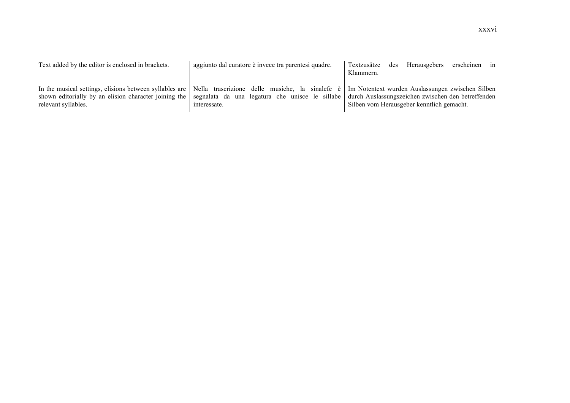| Text added by the editor is enclosed in brackets. | aggiunto dal curatore è invece tra parentesi quadre.                                                                                                                                                                                                                                                                                         | erscheinen in<br>Herausgebers<br>des<br>Textzusätze<br>Klammern. |
|---------------------------------------------------|----------------------------------------------------------------------------------------------------------------------------------------------------------------------------------------------------------------------------------------------------------------------------------------------------------------------------------------------|------------------------------------------------------------------|
| relevant syllables.                               | In the musical settings, elisions between syllables are   Nella trascrizione delle musiche, la sinalefe è   Im Notentext wurden Auslassungen zwischen Silben<br>shown editorially by an elision character joining the   segnalata da una legatura che unisce le sillabe   durch Auslassungszeichen zwischen den betreffenden<br>interessate. | Silben vom Herausgeber kenntlich gemacht.                        |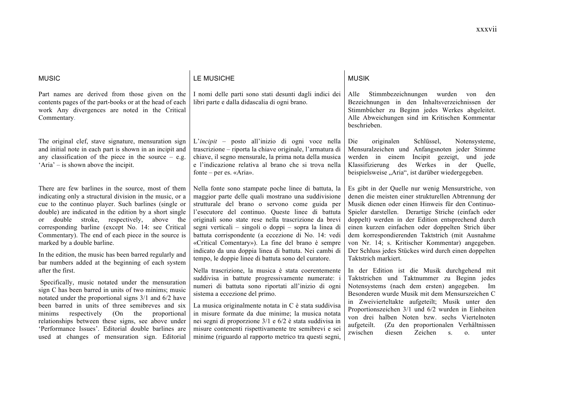| <b>MUSIC</b>                                                                                                                                                                                                                                                                                                                                                                                                                                                                                                                              | LE MUSICHE                                                                                                                                                                                                                                                                                                                                                                                                                                                                                                                                                        | <b>MUSIK</b>                                                                                                                                                                                                                                                                                                                                                                                                                                                                                                           |
|-------------------------------------------------------------------------------------------------------------------------------------------------------------------------------------------------------------------------------------------------------------------------------------------------------------------------------------------------------------------------------------------------------------------------------------------------------------------------------------------------------------------------------------------|-------------------------------------------------------------------------------------------------------------------------------------------------------------------------------------------------------------------------------------------------------------------------------------------------------------------------------------------------------------------------------------------------------------------------------------------------------------------------------------------------------------------------------------------------------------------|------------------------------------------------------------------------------------------------------------------------------------------------------------------------------------------------------------------------------------------------------------------------------------------------------------------------------------------------------------------------------------------------------------------------------------------------------------------------------------------------------------------------|
| Part names are derived from those given on the<br>contents pages of the part-books or at the head of each<br>work Any divergences are noted in the Critical<br>Commentary.                                                                                                                                                                                                                                                                                                                                                                | I nomi delle parti sono stati desunti dagli indici dei<br>libri parte e dalla didascalia di ogni brano.                                                                                                                                                                                                                                                                                                                                                                                                                                                           | Stimmbezeichnungen wurden<br>Alle<br>von<br>den<br>Bezeichnungen in den Inhaltsverzeichnissen der<br>Stimmbücher zu Beginn jedes Werkes abgeleitet.<br>Alle Abweichungen sind im Kritischen Kommentar<br>beschrieben.                                                                                                                                                                                                                                                                                                  |
| The original clef, stave signature, mensuration sign<br>and initial note in each part is shown in an incipit and<br>any classification of the piece in the source $-$ e.g.<br>'Aria' – is shown above the incipit.                                                                                                                                                                                                                                                                                                                        | L'incipit – posto all'inizio di ogni voce nella<br>trascrizione - riporta la chiave originale, l'armatura di<br>chiave, il segno mensurale, la prima nota della musica<br>e l'indicazione relativa al brano che si trova nella<br>fonte – per es. «Aria».                                                                                                                                                                                                                                                                                                         | originalen<br>Schlüssel,<br>Notensysteme,<br>Die<br>Mensuralzeichen und Anfangsnoten jeder Stimme<br>werden in einem<br>Incipit gezeigt, und jede<br>Klassifizierung des<br>Werkes in<br>der<br>Ouelle,<br>beispielsweise "Aria", ist darüber wiedergegeben.                                                                                                                                                                                                                                                           |
| There are few barlines in the source, most of them<br>indicating only a structural division in the music, or a<br>cue to the continuo player. Such barlines (single or<br>double) are indicated in the edition by a short single<br>or double stroke, respectively, above the<br>corresponding barline (except No. 14: see Critical<br>Commentary). The end of each piece in the source is<br>marked by a double barline.<br>In the edition, the music has been barred regularly and<br>bar numbers added at the beginning of each system | Nella fonte sono stampate poche linee di battuta, la<br>maggior parte delle quali mostrano una suddivisione<br>strutturale del brano o servono come guida per<br>l'esecutore del continuo. Queste linee di battuta<br>originali sono state rese nella trascrizione da brevi<br>segni verticali – singoli o doppi – sopra la linea di<br>battuta corrispondente (a eccezione di No. 14: vedi<br>«Critical Comentary»). La fine del brano è sempre<br>indicato da una doppia linea di battuta. Nei cambi di<br>tempo, le doppie linee di battuta sono del curatore. | Es gibt in der Quelle nur wenig Mensurstriche, von<br>denen die meisten einer strukturellen Abtrennung der<br>Musik dienen oder einen Hinweis für den Continuo-<br>Spieler darstellen. Derartige Striche (einfach oder<br>doppelt) werden in der Edition entsprechend durch<br>einen kurzen einfachen oder doppelten Strich über<br>dem korrespondierenden Taktstrich (mit Ausnahme<br>von Nr. 14; s. Kritischer Kommentar) angegeben.<br>Der Schluss jedes Stückes wird durch einen doppelten<br>Taktstrich markiert. |
| after the first.<br>Specifically, music notated under the mensuration<br>sign C has been barred in units of two minims; music<br>notated under the proportional signs 3/1 and 6/2 have<br>been barred in units of three semibreves and six<br>(On<br>the<br>respectively<br>proportional<br>minims<br>relationships between these signs, see above under<br>'Performance Issues'. Editorial double barlines are<br>used at changes of mensuration sign. Editorial                                                                         | Nella trascrizione, la musica è stata coerentemente<br>suddivisa in battute progressivamente numerate: i<br>numeri di battuta sono riportati all'inizio di ogni<br>sistema a eccezione del primo.<br>La musica originalmente notata in C è stata suddivisa<br>in misure formate da due minime; la musica notata<br>nei segni di proporzione 3/1 e 6/2 è stata suddivisa in<br>misure contenenti rispettivamente tre semibrevi e sei<br>minime (riguardo al rapporto metrico tra questi segni,                                                                     | In der Edition ist die Musik durchgehend mit<br>Taktstrichen und Taktnummer zu Beginn jedes<br>Notensystems (nach dem ersten) angegeben. Im<br>Besonderen wurde Musik mit dem Mensurszeichen C<br>in Zweivierteltakte aufgeteilt; Musik unter den<br>Proportionszeichen 3/1 und 6/2 wurden in Einheiten<br>von drei halben Noten bzw. sechs Viertelnoten<br>aufgeteilt.<br>(Zu den proportionalen Verhältnissen<br>zwischen<br>Zeichen<br>diesen<br>S.<br>$\mathbf{O}$ .<br>unter                                      |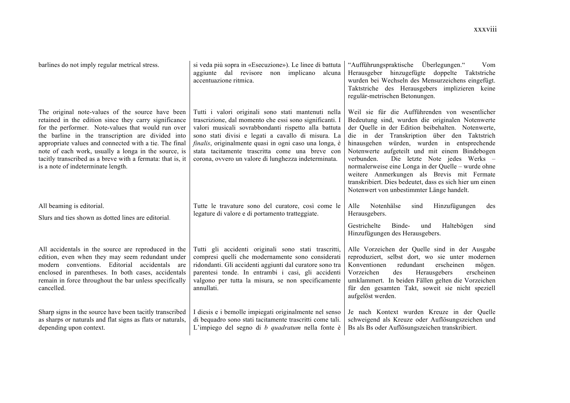| barlines do not imply regular metrical stress.                                                                                                                                                                                                                                                                                                                                                                                             | si veda più sopra in «Esecuzione»). Le linee di battuta<br>aggiunte dal revisore non implicano<br>alcuna<br>accentuazione ritmica.                                                                                                                                                                                                                                                                        | "Aufführungspraktische Überlegungen."<br>Vom<br>Herausgeber hinzugefügte doppelte Taktstriche<br>wurden bei Wechseln des Mensurzeichens eingefügt.<br>Taktstriche des Herausgebers implizieren keine<br>regulär-metrischen Betonungen.                                                                                                                                                                                                                                                                                                                                 |
|--------------------------------------------------------------------------------------------------------------------------------------------------------------------------------------------------------------------------------------------------------------------------------------------------------------------------------------------------------------------------------------------------------------------------------------------|-----------------------------------------------------------------------------------------------------------------------------------------------------------------------------------------------------------------------------------------------------------------------------------------------------------------------------------------------------------------------------------------------------------|------------------------------------------------------------------------------------------------------------------------------------------------------------------------------------------------------------------------------------------------------------------------------------------------------------------------------------------------------------------------------------------------------------------------------------------------------------------------------------------------------------------------------------------------------------------------|
| The original note-values of the source have been<br>retained in the edition since they carry significance<br>for the performer. Note-values that would run over<br>the barline in the transcription are divided into<br>appropriate values and connected with a tie. The final<br>note of each work, usually a longa in the source, is<br>tacitly transcribed as a breve with a fermata: that is, it<br>is a note of indeterminate length. | Tutti i valori originali sono stati mantenuti nella<br>trascrizione, dal momento che essi sono significanti. I<br>valori musicali sovrabbondanti rispetto alla battuta<br>sono stati divisi e legati a cavallo di misura. La<br><i>finalis</i> , originalmente quasi in ogni caso una longa, è<br>stata tacitamente trascritta come una breve con<br>corona, ovvero un valore di lunghezza indeterminata. | Weil sie für die Aufführenden von wesentlicher<br>Bedeutung sind, wurden die originalen Notenwerte<br>der Quelle in der Edition beibehalten. Notenwerte,<br>die in der Transkription über den Taktstrich<br>hinausgehen würden, wurden in entsprechende<br>Notenwerte aufgeteilt und mit einem Bindebogen<br>Die letzte Note jedes Werks –<br>verbunden.<br>normalerweise eine Longa in der Quelle – wurde ohne<br>weitere Anmerkungen als Brevis mit Fermate<br>transkribiert. Dies bedeutet, dass es sich hier um einen<br>Notenwert von unbestimmter Länge handelt. |
| All beaming is editorial.<br>Slurs and ties shown as dotted lines are editorial.                                                                                                                                                                                                                                                                                                                                                           | Tutte le travature sono del curatore, così come le<br>legature di valore e di portamento tratteggiate.                                                                                                                                                                                                                                                                                                    | Alle<br>Notenhälse<br>Hinzufügungen<br>sind<br>des<br>Herausgebers.                                                                                                                                                                                                                                                                                                                                                                                                                                                                                                    |
|                                                                                                                                                                                                                                                                                                                                                                                                                                            |                                                                                                                                                                                                                                                                                                                                                                                                           | Gestrichelte<br>Binde-<br>Haltebögen<br>und<br>sind<br>Hinzufügungen des Herausgebers.                                                                                                                                                                                                                                                                                                                                                                                                                                                                                 |
| All accidentals in the source are reproduced in the<br>edition, even when they may seem redundant under<br>modern conventions. Editorial accidentals<br>are<br>enclosed in parentheses. In both cases, accidentals<br>remain in force throughout the bar unless specifically<br>cancelled.                                                                                                                                                 | Tutti gli accidenti originali sono stati trascritti,<br>compresi quelli che modernamente sono considerati<br>ridondanti. Gli accidenti aggiunti dal curatore sono tra<br>parentesi tonde. In entrambi i casi, gli accidenti<br>valgono per tutta la misura, se non specificamente<br>annullati.                                                                                                           | Alle Vorzeichen der Quelle sind in der Ausgabe<br>reproduziert, selbst dort, wo sie unter modernen<br>erscheinen<br>Konventionen<br>redundant<br>mögen.<br>Herausgebers<br>Vorzeichen<br>erscheinen<br>des<br>umklammert. In beiden Fällen gelten die Vorzeichen<br>für den gesamten Takt, soweit sie nicht speziell<br>aufgelöst werden.                                                                                                                                                                                                                              |
| Sharp signs in the source have been tacitly transcribed<br>as sharps or naturals and flat signs as flats or naturals,<br>depending upon context.                                                                                                                                                                                                                                                                                           | I diesis e i bemolle impiegati originalmente nel senso<br>di bequadro sono stati tacitamente trascritti come tali.<br>L'impiego del segno di <i>b</i> quadratum nella fonte è                                                                                                                                                                                                                             | Je nach Kontext wurden Kreuze in der Quelle<br>schweigend als Kreuze oder Auflösungszeichen und<br>Bs als Bs oder Auflösungszeichen transkribiert.                                                                                                                                                                                                                                                                                                                                                                                                                     |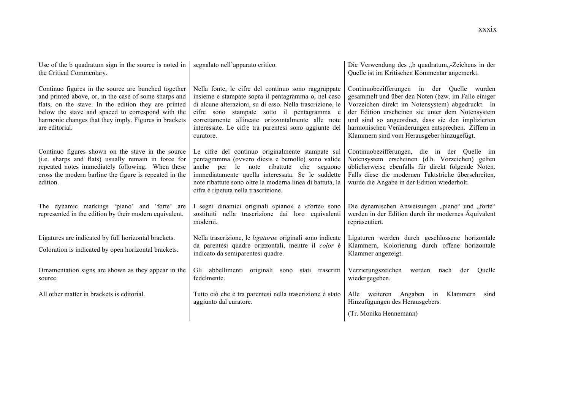| Use of the b quadratum sign in the source is noted in<br>the Critical Commentary.                                                                                                                                                                                                                    | segnalato nell'apparato critico.                                                                                                                                                                                                                                                                                                                 | Die Verwendung des "b quadratum, Zeichens in der<br>Quelle ist im Kritischen Kommentar angemerkt.                                                                                                                                                                                                                                                                  |
|------------------------------------------------------------------------------------------------------------------------------------------------------------------------------------------------------------------------------------------------------------------------------------------------------|--------------------------------------------------------------------------------------------------------------------------------------------------------------------------------------------------------------------------------------------------------------------------------------------------------------------------------------------------|--------------------------------------------------------------------------------------------------------------------------------------------------------------------------------------------------------------------------------------------------------------------------------------------------------------------------------------------------------------------|
| Continuo figures in the source are bunched together<br>and printed above, or, in the case of some sharps and<br>flats, on the stave. In the edition they are printed<br>below the stave and spaced to correspond with the<br>harmonic changes that they imply. Figures in brackets<br>are editorial. | Nella fonte, le cifre del continuo sono raggruppate<br>insieme e stampate sopra il pentagramma o, nel caso<br>di alcune alterazioni, su di esso. Nella trascrizione, le<br>cifre sono stampate sotto il pentagramma e<br>correttamente allineate orizzontalmente alle note<br>interessate. Le cifre tra parentesi sono aggiunte del<br>curatore. | Continuobezifferungen in der Quelle wurden<br>gesammelt und über den Noten (bzw. im Falle einiger<br>Vorzeichen direkt im Notensystem) abgedruckt. In<br>der Edition erscheinen sie unter dem Notensystem<br>und sind so angeordnet, dass sie den implizierten<br>harmonischen Veränderungen entsprechen. Ziffern in<br>Klammern sind vom Herausgeber hinzugefügt. |
| Continuo figures shown on the stave in the source<br>(i.e. sharps and flats) usually remain in force for<br>repeated notes immediately following. When these<br>cross the modern barline the figure is repeated in the<br>edition.                                                                   | Le cifre del continuo originalmente stampate sul<br>pentagramma (ovvero diesis e bemolle) sono valide<br>anche<br>ribattute<br>per le note<br>che<br>seguono<br>immediatamente quella interessata. Se le suddette<br>note ribattute sono oltre la moderna linea di battuta, la<br>cifra è ripetuta nella trascrizione.                           | Continuobezifferungen, die in der Quelle im<br>Notensystem erscheinen (d.h. Vorzeichen) gelten<br>üblicherweise ebenfalls für direkt folgende Noten.<br>Falls diese die modernen Taktstriche überschreiten,<br>wurde die Angabe in der Edition wiederholt.                                                                                                         |
| The dynamic markings 'piano' and 'forte' are<br>represented in the edition by their modern equivalent.                                                                                                                                                                                               | I segni dinamici originali «piano» e «forte» sono<br>sostituiti nella trascrizione dai loro equivalenti<br>moderni.                                                                                                                                                                                                                              | Die dynamischen Anweisungen "piano" und "forte"<br>werden in der Edition durch ihr modernes Äquivalent<br>repräsentiert.                                                                                                                                                                                                                                           |
| Ligatures are indicated by full horizontal brackets.                                                                                                                                                                                                                                                 | Nella trascrizione, le <i>ligaturae</i> originali sono indicate                                                                                                                                                                                                                                                                                  | Ligaturen werden durch geschlossene horizontale                                                                                                                                                                                                                                                                                                                    |
| Coloration is indicated by open horizontal brackets.                                                                                                                                                                                                                                                 | da parentesi quadre orizzontali, mentre il color è<br>indicato da semiparentesi quadre.                                                                                                                                                                                                                                                          | Klammern, Kolorierung durch offene horizontale<br>Klammer angezeigt.                                                                                                                                                                                                                                                                                               |
| Ornamentation signs are shown as they appear in the<br>source.                                                                                                                                                                                                                                       | Gli abbellimenti originali sono<br>stati trascritti<br>fedelmente.                                                                                                                                                                                                                                                                               | Verzierungszeichen<br>werden<br>nach<br>der<br>Ouelle<br>wiedergegeben.                                                                                                                                                                                                                                                                                            |
| All other matter in brackets is editorial.                                                                                                                                                                                                                                                           | Tutto ciò che è tra parentesi nella trascrizione è stato<br>aggiunto dal curatore.                                                                                                                                                                                                                                                               | Angaben in<br>Klammern<br>Alle weiteren<br>sind<br>Hinzufügungen des Herausgebers.                                                                                                                                                                                                                                                                                 |
|                                                                                                                                                                                                                                                                                                      |                                                                                                                                                                                                                                                                                                                                                  | (Tr. Monika Hennemann)                                                                                                                                                                                                                                                                                                                                             |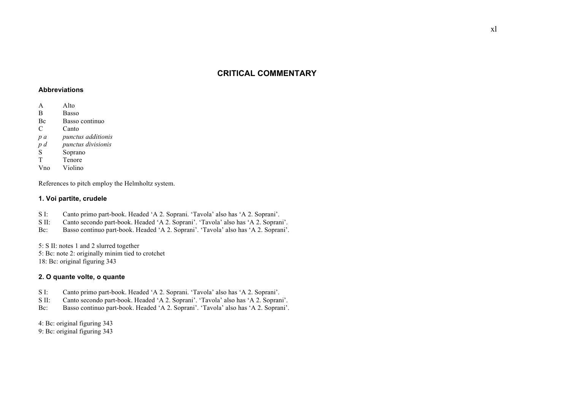# **CRITICAL COMMENTARY**

#### **Abbreviations**

- A Alto
- B Basso
- Bc Basso continuo
- C Canto
- *p a punctus additionis*
- *p d punctus divisionis*
- S Soprano
- T Tenore
- Vno Violino

References to pitch employ the Helmholtz system.

### **1. Voi partite, crudele**

- S I: Canto primo part-book. Headed 'A 2. Soprani. 'Tavola' also has 'A 2. Soprani'.
- S II: Canto secondo part-book. Headed 'A 2. Soprani'. 'Tavola' also has 'A 2. Soprani'.
- Bc: Basso continuo part-book. Headed 'A 2. Soprani'. 'Tavola' also has 'A 2. Soprani'.

5: S II: notes 1 and 2 slurred together 5: Bc: note 2: originally minim tied to crotchet 18: Bc: original figuring 343

## **2. O quante volte, o quante**

- S I: Canto primo part-book. Headed 'A 2. Soprani. 'Tavola' also has 'A 2. Soprani'.
- S II: Canto secondo part-book. Headed 'A 2. Soprani'. 'Tavola' also has 'A 2. Soprani'.
- Bc: Basso continuo part-book. Headed 'A 2. Soprani'. 'Tavola' also has 'A 2. Soprani'.

4: Bc: original figuring 343

9: Bc: original figuring 343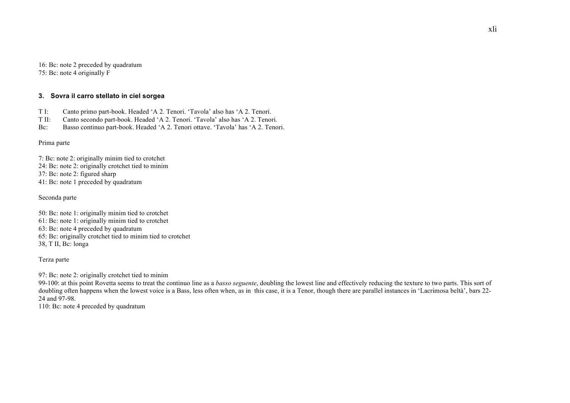16: Bc: note 2 preceded by quadratum 75: Bc: note 4 originally F

## **3. Sovra il carro stellato in ciel sorgea**

- T I: Canto primo part-book. Headed 'A 2. Tenori. 'Tavola' also has 'A 2. Tenori.
- T II: Canto secondo part-book. Headed 'A 2. Tenori. 'Tavola' also has 'A 2. Tenori.
- Bc: Basso continuo part-book. Headed 'A 2. Tenori ottave. 'Tavola' has 'A 2. Tenori.

Prima parte

7: Bc: note 2: originally minim tied to crotchet 24: Bc: note 2: originally crotchet tied to minim 37: Bc: note 2: figured sharp 41: Bc: note 1 preceded by quadratum

Seconda parte

50: Bc: note 1: originally minim tied to crotchet 61: Bc: note 1: originally minim tied to crotchet 63: Bc: note 4 preceded by quadratum 65: Bc: originally crotchet tied to minim tied to crotchet 38, T II, Bc: longa

Terza parte

97: Bc: note 2: originally crotchet tied to minim

99-100: at this point Rovetta seems to treat the continuo line as a *basso seguente*, doubling the lowest line and effectively reducing the texture to two parts. This sort of doubling often happens when the lowest voice is a Bass, less often when, as in this case, it is a Tenor, though there are parallel instances in 'Lacrimosa beltà', bars 22-24 and 97-98.

110: Bc: note 4 preceded by quadratum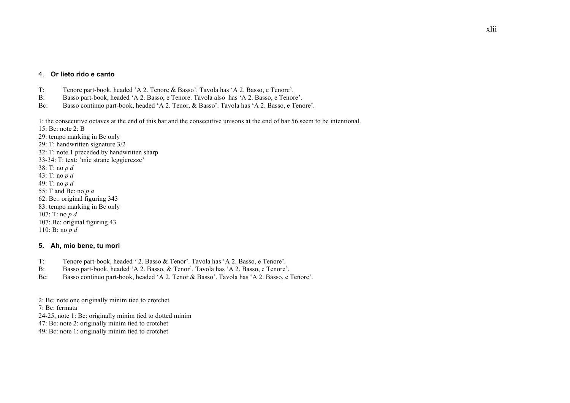#### 4. **Or lieto rido e canto**

- T: Tenore part-book, headed 'A 2. Tenore & Basso'. Tavola has 'A 2. Basso, e Tenore'.
- B: Basso part-book, headed 'A 2. Basso, e Tenore. Tavola also has 'A 2. Basso, e Tenore'.
- Bc: Basso continuo part-book, headed 'A 2. Tenor, & Basso'. Tavola has 'A 2. Basso, e Tenore'.

1: the consecutive octaves at the end of this bar and the consecutive unisons at the end of bar 56 seem to be intentional.

15: Bc: note 2: B

29: tempo marking in Bc only 29: T: handwritten signature 3/2 32: T: note 1 preceded by handwritten sharp 33-34: T: text: 'mie strane leggierezze' 38: T: no *p d* 43: T: no *p d* 49: T: no *p d* 55: T and Bc: no *p a* 62: Bc.: original figuring 343 83: tempo marking in Bc only 107: T: no *p d* 107: Bc: original figuring 43 110: B: no *p d*

#### **5. Ah, mio bene, tu mori**

- T: Tenore part-book, headed ' 2. Basso & Tenor'. Tavola has 'A 2. Basso, e Tenore'.
- B: Basso part-book, headed 'A 2. Basso, & Tenor'. Tavola has 'A 2. Basso, e Tenore'.
- Bc: Basso continuo part-book, headed 'A 2. Tenor & Basso'. Tavola has 'A 2. Basso, e Tenore'.

2: Bc: note one originally minim tied to crotchet

7: Bc: fermata

24-25, note 1: Bc: originally minim tied to dotted minim

47: Bc: note 2: originally minim tied to crotchet

49: Bc: note 1: originally minim tied to crotchet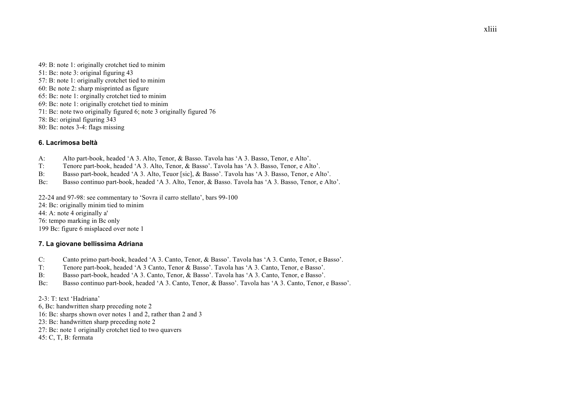49: B: note 1: originally crotchet tied to minim 51: Bc: note 3: original figuring 43 57: B: note 1: originally crotchet tied to minim 60: Bc note 2: sharp misprinted as figure 65: Bc: note 1: orginally crotchet tied to minim 69: Bc: note 1: originally crotchet tied to minim 71: Bc: note two originally figured 6; note 3 originally figured 76 78: Bc: original figuring 343 80: Bc: notes 3-4: flags missing

## **6. Lacrimosa beltà**

- A: Alto part-book, headed 'A 3. Alto, Tenor, & Basso. Tavola has 'A 3. Basso, Tenor, e Alto'.
- T: Tenore part-book, headed 'A 3. Alto, Tenor, & Basso'. Tavola has 'A 3. Basso, Tenor, e Alto'.
- B: Basso part-book, headed 'A 3. Alto, Teuor [sic], & Basso'. Tavola has 'A 3. Basso, Tenor, e Alto'.
- Bc: Basso continuo part-book, headed 'A 3. Alto, Tenor, & Basso. Tavola has 'A 3. Basso, Tenor, e Alto'.
- 22-24 and 97-98: see commentary to 'Sovra il carro stellato', bars 99-100
- 24: Bc: originally minim tied to minim
- 44: A: note 4 originally a'
- 76: tempo marking in Bc only
- 199 Bc: figure 6 misplaced over note 1

## **7. La giovane bellissima Adriana**

- C: Canto primo part-book, headed 'A 3. Canto, Tenor, & Basso'. Tavola has 'A 3. Canto, Tenor, e Basso'.
- T: Tenore part-book, headed 'A 3 Canto, Tenor & Basso'. Tavola has 'A 3. Canto, Tenor, e Basso'.
- B: Basso part-book, headed 'A 3. Canto, Tenor, & Basso'. Tavola has 'A 3. Canto, Tenor, e Basso'.
- Bc: Basso continuo part-book, headed 'A 3. Canto, Tenor, & Basso'. Tavola has 'A 3. Canto, Tenor, e Basso'.

2-3: T: text 'Hadriana'

- 6, Bc: handwritten sharp preceding note 2
- 16: Bc: sharps shown over notes 1 and 2, rather than 2 and 3
- 23: Bc: handwritten sharp preceding note 2
- 27: Bc: note 1 originally crotchet tied to two quavers
- 45: C, T, B: fermata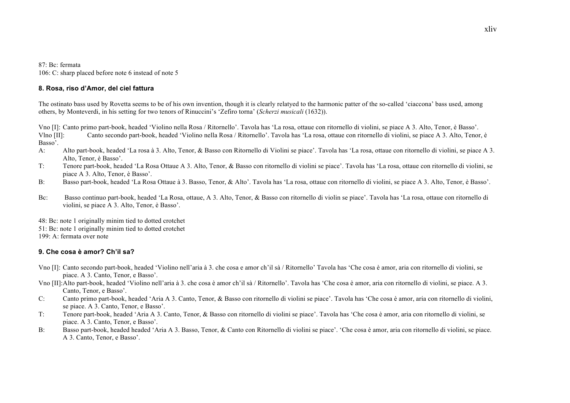#### 87: Bc: fermata

106: C: sharp placed before note 6 instead of note 5

### **8. Rosa, riso d'Amor, del ciel fattura**

The ostinato bass used by Rovetta seems to be of his own invention, though it is clearly relatyed to the harmonic patter of the so-called 'ciaccona' bass used, among others, by Monteverdi, in his setting for two tenors of Rinuccini's 'Zefiro torna' (*Scherzi musicali* (1632)).

Vno [I]: Canto primo part-book, headed 'Violino nella Rosa / Ritornello'. Tavola has 'La rosa, ottaue con ritornello di violini, se piace A 3. Alto, Tenor, è Basso'. Vlno [II]: Canto secondo part-book, headed 'Violino nella Rosa / Ritornello'. Tavola has 'La rosa, ottaue con ritornello di violini, se piace A 3. Alto, Tenor, è Basso'.

- A: Alto part-book, headed 'La rosa à 3. Alto, Tenor, & Basso con Ritornello di Violini se piace'. Tavola has 'La rosa, ottaue con ritornello di violini, se piace A 3. Alto, Tenor, è Basso'.
- T: Tenore part-book, headed 'La Rosa Ottaue A 3. Alto, Tenor, & Basso con ritornello di violini se piace'. Tavola has 'La rosa, ottaue con ritornello di violini, se piace A 3. Alto, Tenor, è Basso'.
- B: Basso part-book, headed 'La Rosa Ottaue à 3. Basso, Tenor, & Alto'. Tavola has 'La rosa, ottaue con ritornello di violini, se piace A 3. Alto, Tenor, è Basso'.
- Bc: Basso continuo part-book, headed 'La Rosa, ottaue, A 3. Alto, Tenor, & Basso con ritornello di violin se piace'. Tavola has 'La rosa, ottaue con ritornello di violini, se piace A 3. Alto, Tenor, è Basso'.

48: Bc: note 1 originally minim tied to dotted crotchet 51: Bc: note 1 originally minim tied to dotted crotchet 199: A: fermata over note

# **9. Che cosa è amor? Ch'il sa?**

- Vno [I]: Canto secondo part-book, headed 'Violino nell'aria à 3. che cosa e amor ch'il sà / Ritornello' Tavola has 'Che cosa è amor, aria con ritornello di violini, se piace. A 3. Canto, Tenor, e Basso'.
- Vno [II]:Alto part-book, headed 'Violino nell'aria à 3. che cosa è amor ch'il sà / Ritornello'. Tavola has 'Che cosa è amor, aria con ritornello di violini, se piace. A 3. Canto, Tenor, e Basso'.
- C: Canto primo part-book, headed 'Aria A 3. Canto, Tenor, & Basso con ritornello di violini se piace'. Tavola has 'Che cosa è amor, aria con ritornello di violini, se piace. A 3. Canto, Tenor, e Basso'.
- T: Tenore part-book, headed 'Aria A 3. Canto, Tenor, & Basso con ritornello di violini se piace'. Tavola has 'Che cosa è amor, aria con ritornello di violini, se piace. A 3. Canto, Tenor, e Basso'.
- B: Basso part-book, headed headed 'Aria A 3. Basso, Tenor, & Canto con Ritornello di violini se piace'. 'Che cosa è amor, aria con ritornello di violini, se piace. A 3. Canto, Tenor, e Basso'.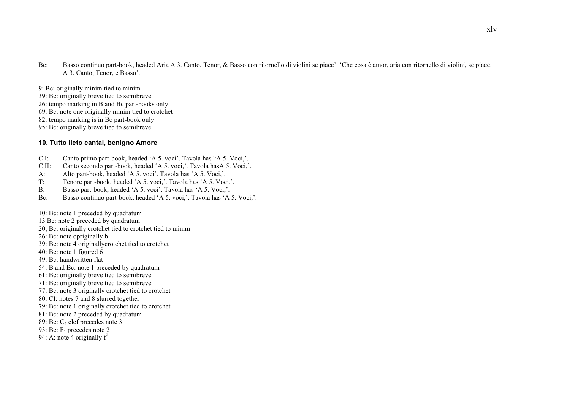- Bc: Basso continuo part-book, headed Aria A 3. Canto, Tenor, & Basso con ritornello di violini se piace'. 'Che cosa è amor, aria con ritornello di violini, se piace. A 3. Canto, Tenor, e Basso'.
- 9: Bc: originally minim tied to minim
- 39: Bc: originally breve tied to semibreve
- 26: tempo marking in B and Bc part-books only
- 69: Bc: note one originally minim tied to crotchet
- 82: tempo marking is in Bc part-book only
- 95: Bc: originally breve tied to semibreve

#### **10. Tutto lieto cantai, benigno Amore**

- C I: Canto primo part-book, headed 'A 5. voci'. Tavola has "A 5. Voci,'.
- C II: Canto secondo part-book, headed 'A 5. voci,'. Tavola hasA 5. Voci,'.
- A: Alto part-book, headed 'A 5. voci'. Tavola has 'A 5. Voci,'.
- T: Tenore part-book, headed 'A 5. voci,'. Tavola has 'A 5. Voci,'.
- B: Basso part-book, headed 'A 5. voci'. Tavola has 'A 5. Voci,'.
- Bc: Basso continuo part-book, headed 'A 5. voci,'. Tavola has 'A 5. Voci,'.
- 10: Bc: note 1 preceded by quadratum
- 13 Bc: note 2 preceded by quadratum
- 20; Bc: originally crotchet tied to crotchet tied to minim
- 26: Bc: note opriginally b
- 39: Bc: note 4 originallycrotchet tied to crotchet
- 40: Bc: note 1 figured 6
- 49: Bc: handwritten flat
- 54: B and Bc: note 1 preceded by quadratum
- 61: Bc: originally breve tied to semibreve
- 71: Bc: originally breve tied to semibreve
- 77: Bc: note 3 originally crotchet tied to crotchet
- 80: CI: notes 7 and 8 slurred together
- 79: Bc: note 1 originally crotchet tied to crotchet
- 81: Bc: note 2 preceded by quadratum
- 89: Bc: C4 clef precedes note 3
- 93: Bc: F4 precedes note 2
- 94: A: note 4 originally  $f<sup>1</sup>$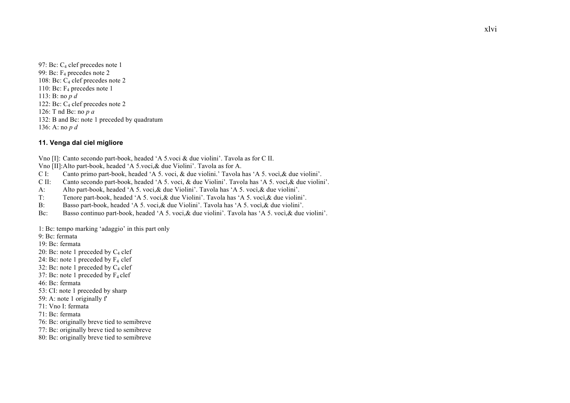97: Bc: C<sub>4</sub> clef precedes note 1 99: Bc: F4 precedes note 2 108: Bc: C4 clef precedes note 2 110: Bc: F4 precedes note 1 113: B: no *p d* 122: Bc:  $C_4$  clef precedes note 2 126: T nd Bc: no *p a* 132: B and Bc: note 1 preceded by quadratum 136: A: no *p d*

### **11. Venga dal ciel migliore**

Vno [I]: Canto secondo part-book, headed 'A 5.voci & due violini'. Tavola as for C II.

Vno [II]:Alto part-book, headed 'A 5.voci,& due Violini'. Tavola as for A.

C I: Canto primo part-book, headed 'A 5. voci, & due violini.' Tavola has 'A 5. vocì,& due violini'.

C II: Canto secondo part-book, headed 'A 5. voci, & due Violini'. Tavola has 'A 5. vocì,& due violini'.

A: Alto part-book, headed 'A 5. voci,& due Violini'. Tavola has 'A 5. vocì,& due violini'.

T: Tenore part-book, headed 'A 5. voci,& due Violini'. Tavola has 'A 5. vocì,& due violini'.

B: Basso part-book, headed 'A 5. voci,& due Violini'. Tavola has 'A 5. vocì,& due violini'.

Bc: Basso continuo part-book, headed 'A 5. voci,& due violini'. Tavola has 'A 5. vocì,& due violini'.

1: Bc: tempo marking 'adaggio' in this part only

9: Bc: fermata

19: Bc: fermata

20: Bc: note 1 preceded by  $C_4$  clef

24: Bc: note 1 preceded by  $F_4$  clef

32: Bc: note 1 preceded by  $C_4$  clef

37: Bc: note 1 preceded by  $F_4$  clef

46: Bc: fermata

53: CI: note 1 preceded by sharp

59: A: note 1 originally f'

71: Vno I: fermata

71: Bc: fermata

76: Bc: originally breve tied to semibreve

77: Bc: originally breve tied to semibreve

80: Bc: originally breve tied to semibreve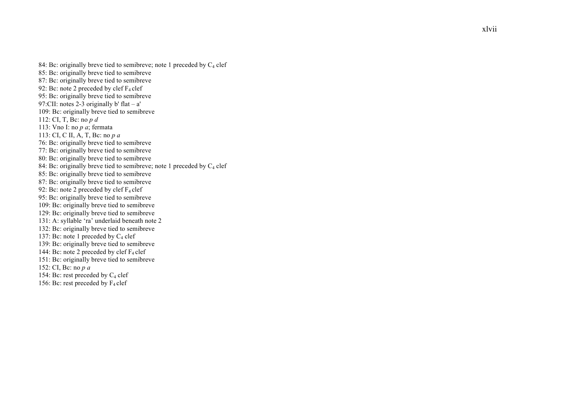84: Bc: originally breve tied to semibreve; note 1 preceded by  $C_4$  clef 85: Bc: originally breve tied to semibreve 87: Bc: originally breve tied to semibreve 92: Bc: note 2 preceded by clef  $F_4$  clef 95: Bc: originally breve tied to semibreve 97:CII: notes 2 -3 originally b' flat – a' 109: Bc: originally breve tied to semibreve 112: CI, T, Bc: no *p d*  113: Vno I: no *p a*; fermata 113: CI, C II, A, T, Bc: no *p a* 76: Bc: originally breve tied to semibreve 77: Bc: originally breve tied to semibreve 80: Bc: originally breve tied to semibreve 84: Bc: originally breve tied to semibreve; note 1 preceded by  $C_4$  clef 85: Bc: originally breve tied to semibreve 87: Bc: originally breve tied to semibreve 92: Bc: note 2 preceded by clef  $F_4$  clef 95: Bc: originally breve tied to semibreve 109: Bc: originally breve tied to semibreve 129: Bc: originally breve tied to semibreve 131: A: syllable 'ra' underlaid beneath note 2 132: Bc: originally breve tied to semibreve 137: Bc: note 1 preceded by  $C_4$  clef 139: Bc: originally breve tied to semibreve 144: Bc: note 2 preceded by clef  $F_4$  clef 151: Bc: originally breve tied to semibreve 152: CI, Bc: no *p a* 154: Bc: rest preceded by C <sup>4</sup> clef 156: Bc: rest preceded by  $F_4$  clef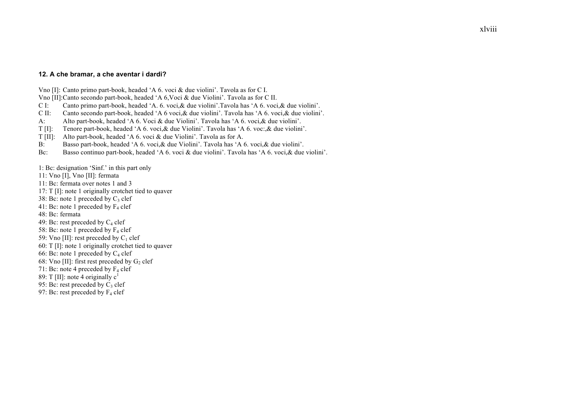#### **12. A che bramar, a che aventar i dardi?**

Vno [I]: Canto primo part-book, headed 'A 6. voci & due violini'. Tavola as for C I.

Vno [II]:Canto secondo part-book, headed 'A 6,Voci & due Violini'. Tavola as for C II.

C I: Canto primo part-book, headed 'A. 6. voci,& due violini'.Tavola has 'A 6. voci,& due violini'.

C II: Canto secondo part-book, headed 'A 6 voci,& due violini'. Tavola has 'A 6. voci,& due violini'.

A: Alto part-book, headed 'A 6. Voci & due Violini'. Tavola has 'A 6. voci,& due violini'.

T [I]: Tenore part-book, headed 'A 6. voci,& due Violini'. Tavola has 'A 6. voc:,& due violini'.

T [II]: Alto part-book, headed 'A 6. voci & due Violini'. Tavola as for A.

B: Basso part-book, headed 'A 6. voci,& due Violini'. Tavola has 'A 6. voci,& due violini'.

Bc: Basso continuo part-book, headed 'A 6. voci & due violini'. Tavola has 'A 6. voci,& due violini'.

1: Bc: designation 'Sinf.' in this part only

11: Vno [I], Vno [II]: fermata

11: Bc: fermata over notes 1 and 3

17: T [I]: note 1 originally crotchet tied to quaver

38: Bc: note 1 preceded by  $C_3$  clef

41: Bc: note 1 preceded by  $F_4$  clef

48: Bc: fermata

49: Bc: rest preceded by  $C_4$  clef

58: Bc: note 1 preceded by  $F_4$  clef

59: Vno [II]: rest preceded by  $C_1$  clef

60: T [I]: note 1 originally crotchet tied to quaver

66: Bc: note 1 preceded by  $C_4$  clef

68: Vno [II]: first rest preceded by  $G_2$  clef

71: Bc: note 4 preceded by  $F_4$  clef

89: T [II]: note 4 originally  $c<sup>1</sup>$ 

95: Bc: rest preceded by  $C_3$  clef

97: Bc: rest preceded by  $F_4$  clef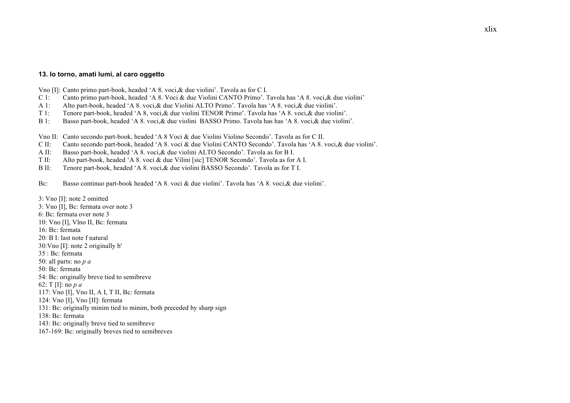#### **13. Io torno, amati lumi, al caro oggetto**

Vno [I]: Canto primo part-book, headed 'A 8. voci,& due violini'. Tavola as for C I.

- C 1: Canto primo part-book, headed 'A 8. Voci & due Violini CANTO Primo'. Tavola has 'A 8. voci,& due violini'
- A 1: Alto part-book, headed 'A 8. voci,& due Violini ALTO Primo'. Tavola has 'A 8. voci,& due violini'.
- T 1: Tenore part-book, headed 'A 8, voci,& due violini TENOR Primo'. Tavola has 'A 8. voci,& due violini'.
- B 1: Basso part-book, headed 'A 8. voci,& due violini BASSO Primo. Tavola has has 'A 8. voci,& due violini'.

Vno II: Canto secondo part-book, headed 'A 8 Voci & due Violini Violino Secondo'. Tavola as for C II.

- C II: Canto secondo part-book, headed 'A 8. voci & due Violini CANTO Secondo'. Tavola has 'A 8. voci,& due violini'.
- A II: Basso part-book, headed 'A 8. voci,& due violini ALTO Secondo'. Tavola as for B I.
- T II: Alto part-book, headed 'A 8. voci & due Vilini [sic] TENOR Secondo'. Tavola as for A I.
- B II: Tenore part-book, headed 'A 8. voci,& due violini BASSO Secondo'. Tavola as for T I.

Bc: Basso continuo part-book headed 'A 8. voci & due violini'. Tavola has 'A 8. voci,& due violini'.

3: Vno [I]: note 2 omitted 3: Vno [I], Bc: fermata over note 3 6: Bc: fermata over note 3 10: Vno [I], Vlno II, Bc: fermata 16: Bc: fermata 20: B I: last note f natural 30:Vno [I]: note 2 originally b' 35 : Bc: fermata 50: all parts: no *p a* 50: Bc: fermata 54: Bc: originally breve tied to semibreve 62: T [I]: no *p a* 117: Vno [I], Vno II, A I, T II, Bc: fermata 124: Vno [I], Vno [II]: fermata 131: Bc: originally minim tied to minim, both preceded by sharp sign 138: Bc: fermata 143: Bc: originally breve tied to semibreve 167-169: Bc: originally breves tied to semibreves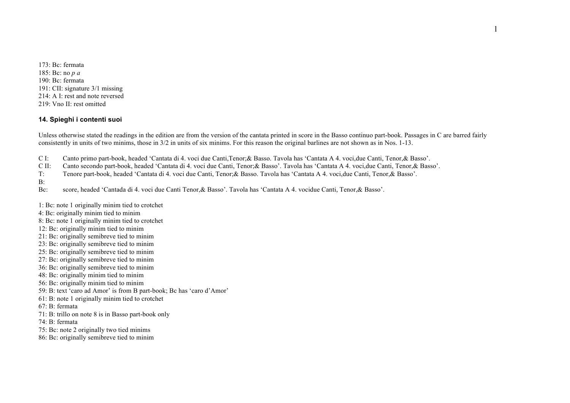173: Bc: fermata 185: Bc: no *p a* 190: Bc: fermata 191: CII: signature 3/1 missing 214: A I: rest and note reversed 219: Vno II: rest omitted

### **14. Spieghi i contenti suoi**

Unless otherwise stated the readings in the edition are from the version of the cantata printed in score in the Basso continuo part-book. Passages in C are barred fairly consistently in units of two minims, those in 3/2 in units of six minims. For this reason the original barlines are not shown as in Nos. 1-13.

- C I: Canto primo part-book, headed 'Cantata di 4. voci due Canti,Tenor;& Basso. Tavola has 'Cantata A 4. voci,due Canti, Tenor,& Basso'.
- C II: Canto secondo part-book, headed 'Cantata di 4. voci due Canti, Tenor;& Basso'. Tavola has 'Cantata A 4. voci,due Canti, Tenor,& Basso'.
- T: Tenore part-book, headed 'Cantata di 4. voci due Canti, Tenor;& Basso. Tavola has 'Cantata A 4. voci,due Canti, Tenor,& Basso'.

B:

Bc: score, headed 'Cantada di 4. voci due Canti Tenor,& Basso'. Tavola has 'Cantata A 4. vocidue Canti, Tenor,& Basso'.

1: Bc: note 1 originally minim tied to crotchet

- 4: Bc: originally minim tied to minim
- 8: Bc: note 1 originally minim tied to crotchet
- 12: Bc: originally minim tied to minim
- 21: Bc: originally semibreve tied to minim
- 23: Bc: originally semibreve tied to minim
- 25: Bc: originally semibreve tied to minim
- 27: Bc: originally semibreve tied to minim
- 36: Bc: originally semibreve tied to minim
- 48: Bc: originally minim tied to minim
- 56: Bc: originally minim tied to minim
- 59: B: text 'caro ad Amor' is from B part-book; Bc has 'caro d'Amor'
- 61: B: note 1 originally minim tied to crotchet

67: B: fermata

71: B: trillo on note 8 is in Basso part-book only

74: B: fermata

- 75: Bc: note 2 originally two tied minims
- 86: Bc: originally semibreve tied to minim